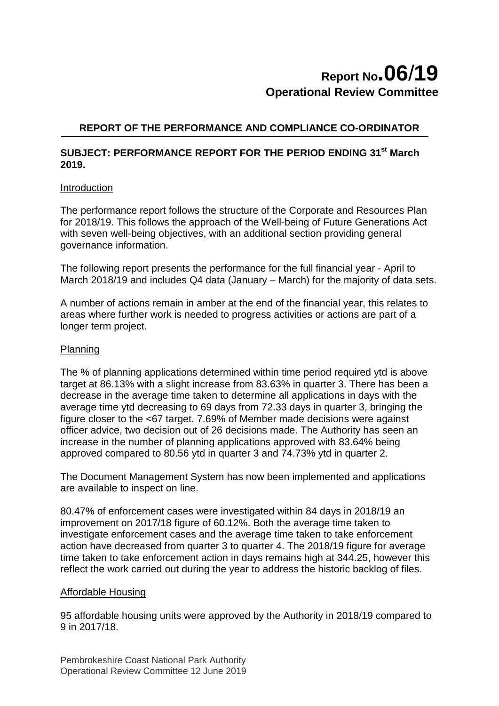# **Report No.06**/**19 Operational Review Committee**

### **REPORT OF THE PERFORMANCE AND COMPLIANCE CO-ORDINATOR**

### **SUBJECT: PERFORMANCE REPORT FOR THE PERIOD ENDING 31st March 2019.**

#### Introduction

The performance report follows the structure of the Corporate and Resources Plan for 2018/19. This follows the approach of the Well-being of Future Generations Act with seven well-being objectives, with an additional section providing general governance information.

The following report presents the performance for the full financial year - April to March 2018/19 and includes Q4 data (January – March) for the majority of data sets.

A number of actions remain in amber at the end of the financial year, this relates to areas where further work is needed to progress activities or actions are part of a longer term project.

#### Planning

The % of planning applications determined within time period required ytd is above target at 86.13% with a slight increase from 83.63% in quarter 3. There has been a decrease in the average time taken to determine all applications in days with the average time ytd decreasing to 69 days from 72.33 days in quarter 3, bringing the figure closer to the <67 target. 7.69% of Member made decisions were against officer advice, two decision out of 26 decisions made. The Authority has seen an increase in the number of planning applications approved with 83.64% being approved compared to 80.56 ytd in quarter 3 and 74.73% ytd in quarter 2.

The Document Management System has now been implemented and applications are available to inspect on line.

80.47% of enforcement cases were investigated within 84 days in 2018/19 an improvement on 2017/18 figure of 60.12%. Both the average time taken to investigate enforcement cases and the average time taken to take enforcement action have decreased from quarter 3 to quarter 4. The 2018/19 figure for average time taken to take enforcement action in days remains high at 344.25, however this reflect the work carried out during the year to address the historic backlog of files.

#### Affordable Housing

95 affordable housing units were approved by the Authority in 2018/19 compared to 9 in 2017/18.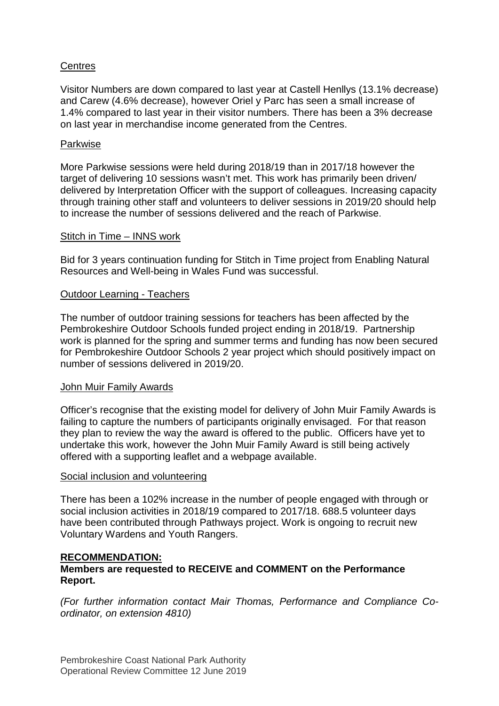### **Centres**

Visitor Numbers are down compared to last year at Castell Henllys (13.1% decrease) and Carew (4.6% decrease), however Oriel y Parc has seen a small increase of 1.4% compared to last year in their visitor numbers. There has been a 3% decrease on last year in merchandise income generated from the Centres.

#### Parkwise

More Parkwise sessions were held during 2018/19 than in 2017/18 however the target of delivering 10 sessions wasn't met. This work has primarily been driven/ delivered by Interpretation Officer with the support of colleagues. Increasing capacity through training other staff and volunteers to deliver sessions in 2019/20 should help to increase the number of sessions delivered and the reach of Parkwise.

#### Stitch in Time – INNS work

Bid for 3 years continuation funding for Stitch in Time project from Enabling Natural Resources and Well-being in Wales Fund was successful.

#### Outdoor Learning - Teachers

The number of outdoor training sessions for teachers has been affected by the Pembrokeshire Outdoor Schools funded project ending in 2018/19. Partnership work is planned for the spring and summer terms and funding has now been secured for Pembrokeshire Outdoor Schools 2 year project which should positively impact on number of sessions delivered in 2019/20.

#### John Muir Family Awards

Officer's recognise that the existing model for delivery of John Muir Family Awards is failing to capture the numbers of participants originally envisaged. For that reason they plan to review the way the award is offered to the public. Officers have yet to undertake this work, however the John Muir Family Award is still being actively offered with a supporting leaflet and a webpage available.

#### Social inclusion and volunteering

There has been a 102% increase in the number of people engaged with through or social inclusion activities in 2018/19 compared to 2017/18. 688.5 volunteer days have been contributed through Pathways project. Work is ongoing to recruit new Voluntary Wardens and Youth Rangers.

#### **RECOMMENDATION:**

### **Members are requested to RECEIVE and COMMENT on the Performance Report.**

*(For further information contact Mair Thomas, Performance and Compliance Coordinator, on extension 4810)*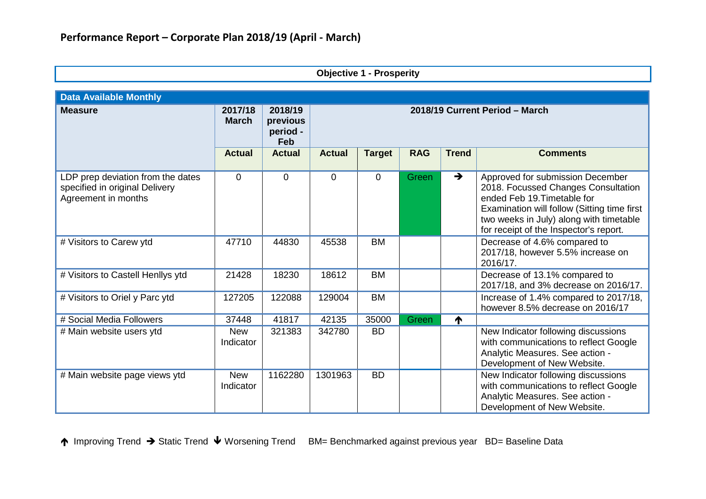| <b>Objective 1 - Prosperity</b>                                                            |                         |                                        |                |                |            |               |                                                                                                                                                                                                                                            |  |
|--------------------------------------------------------------------------------------------|-------------------------|----------------------------------------|----------------|----------------|------------|---------------|--------------------------------------------------------------------------------------------------------------------------------------------------------------------------------------------------------------------------------------------|--|
| <b>Data Available Monthly</b>                                                              |                         |                                        |                |                |            |               |                                                                                                                                                                                                                                            |  |
| <b>Measure</b>                                                                             | 2017/18<br><b>March</b> | 2018/19<br>previous<br>period -<br>Feb |                |                |            |               | 2018/19 Current Period - March                                                                                                                                                                                                             |  |
|                                                                                            | <b>Actual</b>           | <b>Actual</b>                          | <b>Actual</b>  | <b>Target</b>  | <b>RAG</b> | <b>Trend</b>  | <b>Comments</b>                                                                                                                                                                                                                            |  |
| LDP prep deviation from the dates<br>specified in original Delivery<br>Agreement in months | 0                       | $\overline{0}$                         | $\overline{0}$ | $\overline{0}$ | Green      | $\rightarrow$ | Approved for submission December<br>2018. Focussed Changes Consultation<br>ended Feb 19. Timetable for<br>Examination will follow (Sitting time first<br>two weeks in July) along with timetable<br>for receipt of the Inspector's report. |  |
| # Visitors to Carew ytd                                                                    | 47710                   | 44830                                  | 45538          | <b>BM</b>      |            |               | Decrease of 4.6% compared to<br>2017/18, however 5.5% increase on<br>2016/17.                                                                                                                                                              |  |
| # Visitors to Castell Henllys ytd                                                          | 21428                   | 18230                                  | 18612          | BM             |            |               | Decrease of 13.1% compared to<br>2017/18, and 3% decrease on 2016/17.                                                                                                                                                                      |  |
| # Visitors to Oriel y Parc ytd                                                             | 127205                  | 122088                                 | 129004         | <b>BM</b>      |            |               | Increase of 1.4% compared to 2017/18,<br>however 8.5% decrease on 2016/17                                                                                                                                                                  |  |
| # Social Media Followers                                                                   | 37448                   | 41817                                  | 42135          | 35000          | Green      | ↑             |                                                                                                                                                                                                                                            |  |
| # Main website users ytd                                                                   | <b>New</b><br>Indicator | 321383                                 | 342780         | <b>BD</b>      |            |               | New Indicator following discussions<br>with communications to reflect Google<br>Analytic Measures. See action -<br>Development of New Website.                                                                                             |  |
| # Main website page views ytd                                                              | <b>New</b><br>Indicator | 1162280                                | 1301963        | <b>BD</b>      |            |               | New Indicator following discussions<br>with communications to reflect Google<br>Analytic Measures. See action -<br>Development of New Website.                                                                                             |  |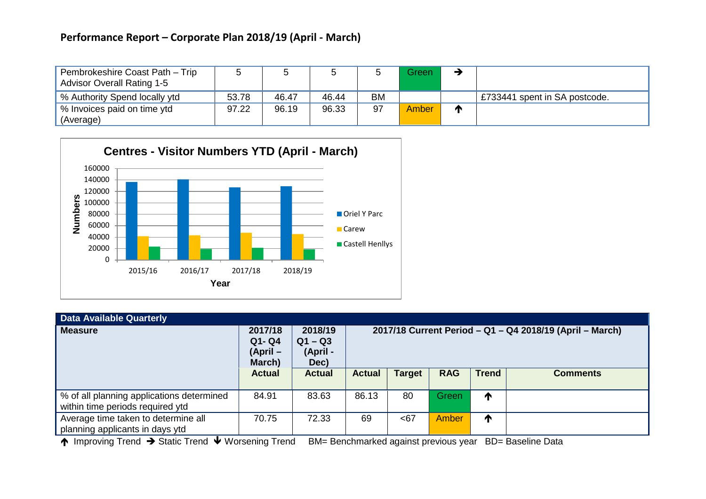| Pembrokeshire Coast Path - Trip<br><b>Advisor Overall Rating 1-5</b> |       |       |       |           | Green        |   |                               |
|----------------------------------------------------------------------|-------|-------|-------|-----------|--------------|---|-------------------------------|
| % Authority Spend locally ytd                                        | 53.78 | 46.47 | 46.44 | <b>BM</b> |              |   | £733441 spent in SA postcode. |
| ↓% Invoices paid on time ytd<br>(Average)                            | 97.22 | 96.19 | 96.33 | 97        | <b>Amber</b> | m |                               |



| <b>Data Available Quarterly</b>                                               |                                           |                                          |                                                          |               |            |              |                 |
|-------------------------------------------------------------------------------|-------------------------------------------|------------------------------------------|----------------------------------------------------------|---------------|------------|--------------|-----------------|
| <b>Measure</b>                                                                | 2017/18<br>$Q1 - Q4$<br>(April-<br>March) | 2018/19<br>$Q1 - Q3$<br>(April -<br>Dec) | 2017/18 Current Period - Q1 - Q4 2018/19 (April - March) |               |            |              |                 |
|                                                                               | <b>Actual</b>                             | <b>Actual</b>                            | <b>Actual</b>                                            | <b>Target</b> | <b>RAG</b> | <b>Trend</b> | <b>Comments</b> |
| % of all planning applications determined<br>within time periods required ytd | 84.91                                     | 83.63                                    | 86.13                                                    | 80            | Green      | ↑            |                 |
| Average time taken to determine all<br>planning applicants in days ytd        | 70.75                                     | 72.33                                    | 69                                                       | <67           | Amber      | ↑            |                 |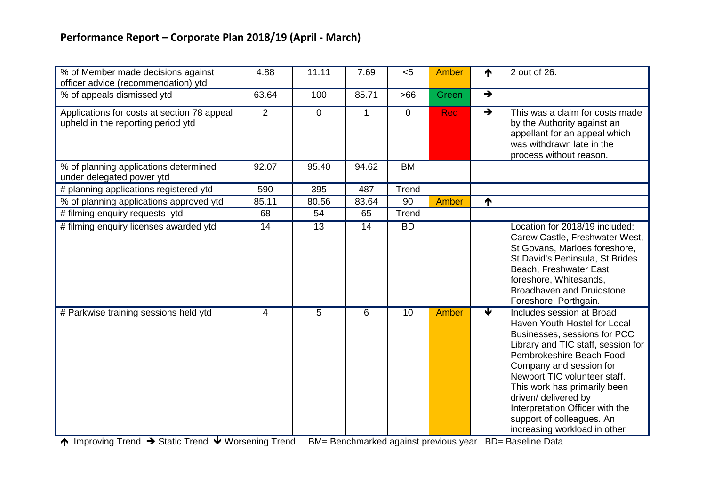| % of Member made decisions against<br>officer advice (recommendation) ytd         | 4.88  | 11.11          | 7.69  | < 5         | Amber      | ₼                       | 2 out of 26.                                                                                                                                                                                                                                                                                                                                                                   |
|-----------------------------------------------------------------------------------|-------|----------------|-------|-------------|------------|-------------------------|--------------------------------------------------------------------------------------------------------------------------------------------------------------------------------------------------------------------------------------------------------------------------------------------------------------------------------------------------------------------------------|
| % of appeals dismissed ytd                                                        | 63.64 | 100            | 85.71 | >66         | Green      | $\rightarrow$           |                                                                                                                                                                                                                                                                                                                                                                                |
| Applications for costs at section 78 appeal<br>upheld in the reporting period ytd | 2     | $\overline{0}$ | 1     | $\mathbf 0$ | <b>Red</b> | $\rightarrow$           | This was a claim for costs made<br>by the Authority against an<br>appellant for an appeal which<br>was withdrawn late in the<br>process without reason.                                                                                                                                                                                                                        |
| % of planning applications determined<br>under delegated power ytd                | 92.07 | 95.40          | 94.62 | <b>BM</b>   |            |                         |                                                                                                                                                                                                                                                                                                                                                                                |
| # planning applications registered ytd                                            | 590   | 395            | 487   | Trend       |            |                         |                                                                                                                                                                                                                                                                                                                                                                                |
| % of planning applications approved ytd                                           | 85.11 | 80.56          | 83.64 | 90          | Amber      | ↑                       |                                                                                                                                                                                                                                                                                                                                                                                |
| # filming enquiry requests ytd                                                    | 68    | 54             | 65    | Trend       |            |                         |                                                                                                                                                                                                                                                                                                                                                                                |
| # filming enquiry licenses awarded ytd                                            | 14    | 13             | 14    | <b>BD</b>   |            |                         | Location for 2018/19 included:<br>Carew Castle, Freshwater West,<br>St Govans, Marloes foreshore,<br>St David's Peninsula, St Brides<br>Beach, Freshwater East<br>foreshore, Whitesands,<br><b>Broadhaven and Druidstone</b><br>Foreshore, Porthgain.                                                                                                                          |
| # Parkwise training sessions held ytd                                             | 4     | 5              | 6     | 10          | Amber      | $\overline{\mathbf{v}}$ | Includes session at Broad<br>Haven Youth Hostel for Local<br>Businesses, sessions for PCC<br>Library and TIC staff, session for<br>Pembrokeshire Beach Food<br>Company and session for<br>Newport TIC volunteer staff.<br>This work has primarily been<br>driven/ delivered by<br>Interpretation Officer with the<br>support of colleagues. An<br>increasing workload in other |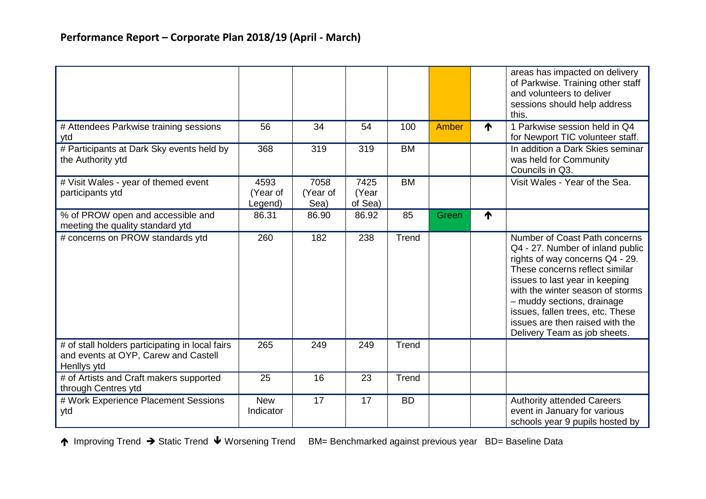|                                                                                                        |                             |                          |                          |           |       |   | areas has impacted on delivery<br>of Parkwise. Training other staff<br>and volunteers to deliver<br>sessions should help address<br>this.                                                                                                                                                                                                         |
|--------------------------------------------------------------------------------------------------------|-----------------------------|--------------------------|--------------------------|-----------|-------|---|---------------------------------------------------------------------------------------------------------------------------------------------------------------------------------------------------------------------------------------------------------------------------------------------------------------------------------------------------|
| # Attendees Parkwise training sessions<br>ytd                                                          | 56                          | 34                       | 54                       | 100       | Amber | ↑ | 1 Parkwise session held in Q4<br>for Newport TIC volunteer staff.                                                                                                                                                                                                                                                                                 |
| # Participants at Dark Sky events held by<br>the Authority ytd                                         | 368                         | 319                      | 319                      | <b>BM</b> |       |   | In addition a Dark Skies seminar<br>was held for Community<br>Councils in Q3.                                                                                                                                                                                                                                                                     |
| # Visit Wales - year of themed event<br>participants ytd                                               | 4593<br>(Year of<br>Legend) | 7058<br>(Year of<br>Sea) | 7425<br>(Year<br>of Sea) | <b>BM</b> |       |   | Visit Wales - Year of the Sea.                                                                                                                                                                                                                                                                                                                    |
| % of PROW open and accessible and<br>meeting the quality standard ytd                                  | 86.31                       | 86.90                    | 86.92                    | 85        | Green | ₼ |                                                                                                                                                                                                                                                                                                                                                   |
| # concerns on PROW standards ytd                                                                       | 260                         | 182                      | 238                      | Trend     |       |   | Number of Coast Path concerns<br>Q4 - 27. Number of inland public<br>rights of way concerns Q4 - 29.<br>These concerns reflect similar<br>issues to last year in keeping<br>with the winter season of storms<br>- muddy sections, drainage<br>issues, fallen trees, etc. These<br>issues are then raised with the<br>Delivery Team as job sheets. |
| # of stall holders participating in local fairs<br>and events at OYP, Carew and Castell<br>Henllys ytd | 265                         | 249                      | 249                      | Trend     |       |   |                                                                                                                                                                                                                                                                                                                                                   |
| # of Artists and Craft makers supported<br>through Centres ytd                                         | 25                          | 16                       | 23                       | Trend     |       |   |                                                                                                                                                                                                                                                                                                                                                   |
| # Work Experience Placement Sessions<br>ytd                                                            | <b>New</b><br>Indicator     | 17                       | 17                       | <b>BD</b> |       |   | <b>Authority attended Careers</b><br>event in January for various<br>schools year 9 pupils hosted by                                                                                                                                                                                                                                              |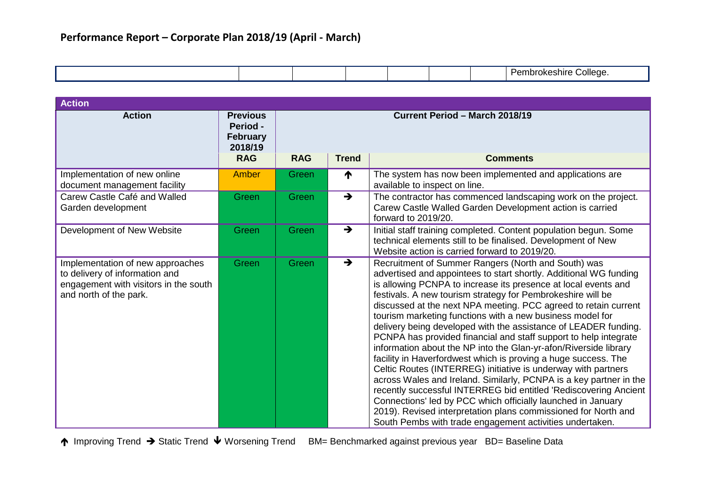|  |  |  |  |  |  | alle<br>$\mathbf{m}$ |
|--|--|--|--|--|--|----------------------|
|--|--|--|--|--|--|----------------------|

| <b>Action</b>                                                                                                                         |                                                                  |                                       |               |                                                                                                                                                                                                                                                                                                                                                                                                                                                                                                                                                                                                                                                                                                                                                                                                                                                                                                                                                                                                                                                                                 |  |
|---------------------------------------------------------------------------------------------------------------------------------------|------------------------------------------------------------------|---------------------------------------|---------------|---------------------------------------------------------------------------------------------------------------------------------------------------------------------------------------------------------------------------------------------------------------------------------------------------------------------------------------------------------------------------------------------------------------------------------------------------------------------------------------------------------------------------------------------------------------------------------------------------------------------------------------------------------------------------------------------------------------------------------------------------------------------------------------------------------------------------------------------------------------------------------------------------------------------------------------------------------------------------------------------------------------------------------------------------------------------------------|--|
| <b>Action</b>                                                                                                                         | <b>Previous</b><br><b>Period -</b><br><b>February</b><br>2018/19 | <b>Current Period - March 2018/19</b> |               |                                                                                                                                                                                                                                                                                                                                                                                                                                                                                                                                                                                                                                                                                                                                                                                                                                                                                                                                                                                                                                                                                 |  |
|                                                                                                                                       | <b>RAG</b>                                                       | <b>RAG</b>                            | <b>Trend</b>  | <b>Comments</b>                                                                                                                                                                                                                                                                                                                                                                                                                                                                                                                                                                                                                                                                                                                                                                                                                                                                                                                                                                                                                                                                 |  |
| Implementation of new online<br>document management facility                                                                          | Amber                                                            | Green                                 | ↑             | The system has now been implemented and applications are<br>available to inspect on line.                                                                                                                                                                                                                                                                                                                                                                                                                                                                                                                                                                                                                                                                                                                                                                                                                                                                                                                                                                                       |  |
| Carew Castle Café and Walled<br>Garden development                                                                                    | Green                                                            | Green                                 | $\rightarrow$ | The contractor has commenced landscaping work on the project.<br>Carew Castle Walled Garden Development action is carried<br>forward to 2019/20.                                                                                                                                                                                                                                                                                                                                                                                                                                                                                                                                                                                                                                                                                                                                                                                                                                                                                                                                |  |
| Development of New Website                                                                                                            | Green                                                            | Green                                 | $\rightarrow$ | Initial staff training completed. Content population begun. Some<br>technical elements still to be finalised. Development of New<br>Website action is carried forward to 2019/20.                                                                                                                                                                                                                                                                                                                                                                                                                                                                                                                                                                                                                                                                                                                                                                                                                                                                                               |  |
| Implementation of new approaches<br>to delivery of information and<br>engagement with visitors in the south<br>and north of the park. | Green                                                            | Green                                 | $\rightarrow$ | Recruitment of Summer Rangers (North and South) was<br>advertised and appointees to start shortly. Additional WG funding<br>is allowing PCNPA to increase its presence at local events and<br>festivals. A new tourism strategy for Pembrokeshire will be<br>discussed at the next NPA meeting. PCC agreed to retain current<br>tourism marketing functions with a new business model for<br>delivery being developed with the assistance of LEADER funding.<br>PCNPA has provided financial and staff support to help integrate<br>information about the NP into the Glan-yr-afon/Riverside library<br>facility in Haverfordwest which is proving a huge success. The<br>Celtic Routes (INTERREG) initiative is underway with partners<br>across Wales and Ireland. Similarly, PCNPA is a key partner in the<br>recently successful INTERREG bid entitled 'Rediscovering Ancient<br>Connections' led by PCC which officially launched in January<br>2019). Revised interpretation plans commissioned for North and<br>South Pembs with trade engagement activities undertaken. |  |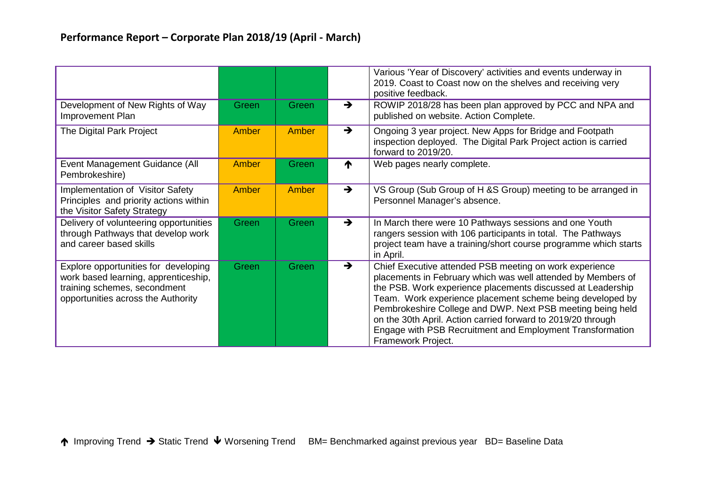|                                                                                                                                                    |       |       |               | Various 'Year of Discovery' activities and events underway in<br>2019. Coast to Coast now on the shelves and receiving very<br>positive feedback.                                                                                                                                                                                                                                                                                                                    |
|----------------------------------------------------------------------------------------------------------------------------------------------------|-------|-------|---------------|----------------------------------------------------------------------------------------------------------------------------------------------------------------------------------------------------------------------------------------------------------------------------------------------------------------------------------------------------------------------------------------------------------------------------------------------------------------------|
| Development of New Rights of Way<br>Improvement Plan                                                                                               | Green | Green | $\rightarrow$ | ROWIP 2018/28 has been plan approved by PCC and NPA and<br>published on website. Action Complete.                                                                                                                                                                                                                                                                                                                                                                    |
| The Digital Park Project                                                                                                                           | Amber | Amber | $\rightarrow$ | Ongoing 3 year project. New Apps for Bridge and Footpath<br>inspection deployed. The Digital Park Project action is carried<br>forward to 2019/20.                                                                                                                                                                                                                                                                                                                   |
| Event Management Guidance (All<br>Pembrokeshire)                                                                                                   | Amber | Green | ↑             | Web pages nearly complete.                                                                                                                                                                                                                                                                                                                                                                                                                                           |
| Implementation of Visitor Safety<br>Principles and priority actions within<br>the Visitor Safety Strategy                                          | Amber | Amber | $\rightarrow$ | VS Group (Sub Group of H &S Group) meeting to be arranged in<br>Personnel Manager's absence.                                                                                                                                                                                                                                                                                                                                                                         |
| Delivery of volunteering opportunities<br>through Pathways that develop work<br>and career based skills                                            | Green | Green | $\rightarrow$ | In March there were 10 Pathways sessions and one Youth<br>rangers session with 106 participants in total. The Pathways<br>project team have a training/short course programme which starts<br>in April.                                                                                                                                                                                                                                                              |
| Explore opportunities for developing<br>work based learning, apprenticeship,<br>training schemes, secondment<br>opportunities across the Authority | Green | Green | $\rightarrow$ | Chief Executive attended PSB meeting on work experience<br>placements in February which was well attended by Members of<br>the PSB. Work experience placements discussed at Leadership<br>Team. Work experience placement scheme being developed by<br>Pembrokeshire College and DWP. Next PSB meeting being held<br>on the 30th April. Action carried forward to 2019/20 through<br>Engage with PSB Recruitment and Employment Transformation<br>Framework Project. |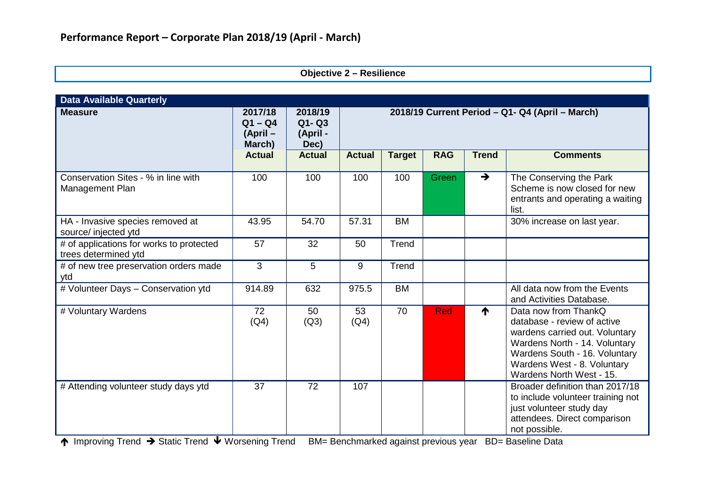| <b>Objective 2 - Resilience</b> |  |  |
|---------------------------------|--|--|
|---------------------------------|--|--|

| <b>Data Available Quarterly</b>                                  |                                           |                                          |               |                                                 |            |               |                                                                                                                                                                                                                    |
|------------------------------------------------------------------|-------------------------------------------|------------------------------------------|---------------|-------------------------------------------------|------------|---------------|--------------------------------------------------------------------------------------------------------------------------------------------------------------------------------------------------------------------|
| <b>Measure</b>                                                   | 2017/18<br>$Q1 - Q4$<br>(April-<br>March) | 2018/19<br>$Q1 - Q3$<br>(April -<br>Dec) |               | 2018/19 Current Period - Q1- Q4 (April - March) |            |               |                                                                                                                                                                                                                    |
|                                                                  | <b>Actual</b>                             | <b>Actual</b>                            | <b>Actual</b> | <b>Target</b>                                   | <b>RAG</b> | <b>Trend</b>  | <b>Comments</b>                                                                                                                                                                                                    |
| Conservation Sites - % in line with<br>Management Plan           | 100                                       | 100                                      | 100           | 100                                             | Green      | $\rightarrow$ | The Conserving the Park<br>Scheme is now closed for new<br>entrants and operating a waiting<br>list.                                                                                                               |
| HA - Invasive species removed at<br>source/ injected ytd         | 43.95                                     | 54.70                                    | 57.31         | <b>BM</b>                                       |            |               | 30% increase on last year.                                                                                                                                                                                         |
| # of applications for works to protected<br>trees determined ytd | 57                                        | 32                                       | 50            | Trend                                           |            |               |                                                                                                                                                                                                                    |
| # of new tree preservation orders made<br>ytd                    | 3                                         | 5                                        | 9             | Trend                                           |            |               |                                                                                                                                                                                                                    |
| # Volunteer Days - Conservation ytd                              | 914.89                                    | 632                                      | 975.5         | <b>BM</b>                                       |            |               | All data now from the Events<br>and Activities Database.                                                                                                                                                           |
| # Voluntary Wardens                                              | 72<br>(Q4)                                | 50<br>(Q3)                               | 53<br>(Q4)    | 70                                              | <b>Red</b> | ↑             | Data now from ThankQ<br>database - review of active<br>wardens carried out. Voluntary<br>Wardens North - 14. Voluntary<br>Wardens South - 16. Voluntary<br>Wardens West - 8. Voluntary<br>Wardens North West - 15. |
| # Attending volunteer study days ytd                             | 37                                        | 72                                       | 107           |                                                 |            |               | Broader definition than 2017/18<br>to include volunteer training not<br>just volunteer study day<br>attendees. Direct comparison<br>not possible.                                                                  |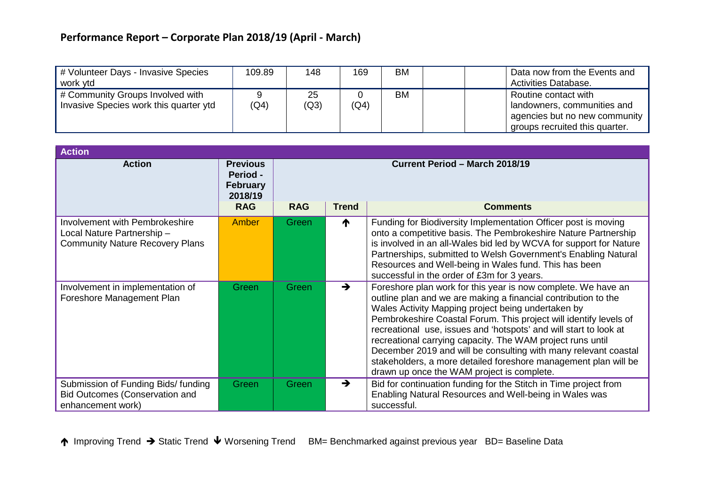| # Volunteer Days - Invasive Species<br>work ytd                            | 109.89 | 148        | 169  | <b>BM</b> | Data now from the Events and<br>Activities Database.                                                                   |
|----------------------------------------------------------------------------|--------|------------|------|-----------|------------------------------------------------------------------------------------------------------------------------|
| # Community Groups Involved with<br>Invasive Species work this quarter ytd | (Q4)   | 25<br>(Q3) | (Q4) | <b>BM</b> | Routine contact with<br>landowners, communities and<br>agencies but no new community<br>groups recruited this quarter. |

| <b>Action</b>                                                                                          |                                                                         |                                                                                 |               |                                                                                                                                                                                                                                                                                                                                                                                                                                                                                                                                                                                   |  |  |
|--------------------------------------------------------------------------------------------------------|-------------------------------------------------------------------------|---------------------------------------------------------------------------------|---------------|-----------------------------------------------------------------------------------------------------------------------------------------------------------------------------------------------------------------------------------------------------------------------------------------------------------------------------------------------------------------------------------------------------------------------------------------------------------------------------------------------------------------------------------------------------------------------------------|--|--|
| <b>Action</b>                                                                                          | <b>Previous</b><br>Period -<br><b>February</b><br>2018/19<br><b>RAG</b> | Current Period - March 2018/19<br><b>RAG</b><br><b>Trend</b><br><b>Comments</b> |               |                                                                                                                                                                                                                                                                                                                                                                                                                                                                                                                                                                                   |  |  |
| Involvement with Pembrokeshire<br>Local Nature Partnership -<br><b>Community Nature Recovery Plans</b> | <b>Amber</b>                                                            | Green                                                                           | ↑             | Funding for Biodiversity Implementation Officer post is moving<br>onto a competitive basis. The Pembrokeshire Nature Partnership<br>is involved in an all-Wales bid led by WCVA for support for Nature<br>Partnerships, submitted to Welsh Government's Enabling Natural<br>Resources and Well-being in Wales fund. This has been<br>successful in the order of £3m for 3 years.                                                                                                                                                                                                  |  |  |
| Involvement in implementation of<br>Foreshore Management Plan                                          | Green                                                                   | Green                                                                           | $\rightarrow$ | Foreshore plan work for this year is now complete. We have an<br>outline plan and we are making a financial contribution to the<br>Wales Activity Mapping project being undertaken by<br>Pembrokeshire Coastal Forum. This project will identify levels of<br>recreational use, issues and 'hotspots' and will start to look at<br>recreational carrying capacity. The WAM project runs until<br>December 2019 and will be consulting with many relevant coastal<br>stakeholders, a more detailed foreshore management plan will be<br>drawn up once the WAM project is complete. |  |  |
| Submission of Funding Bids/ funding<br><b>Bid Outcomes (Conservation and</b><br>enhancement work)      | <b>Green</b>                                                            | Green                                                                           | $\rightarrow$ | Bid for continuation funding for the Stitch in Time project from<br>Enabling Natural Resources and Well-being in Wales was<br>successful.                                                                                                                                                                                                                                                                                                                                                                                                                                         |  |  |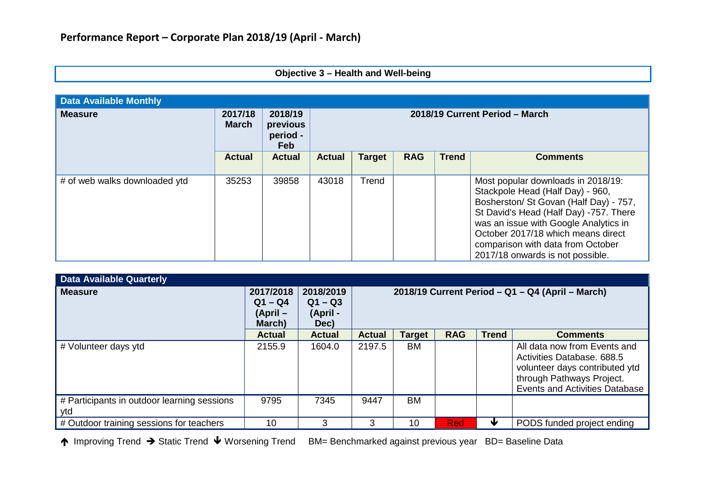### **Objective 3 – Health and Well-being**

| <b>Data Available Monthly</b> |                         |                                               |                                |               |            |              |                                                                                                                                                                                                                                                                                                                    |  |  |  |  |  |  |  |  |
|-------------------------------|-------------------------|-----------------------------------------------|--------------------------------|---------------|------------|--------------|--------------------------------------------------------------------------------------------------------------------------------------------------------------------------------------------------------------------------------------------------------------------------------------------------------------------|--|--|--|--|--|--|--|--|
| <b>Measure</b>                | 2017/18<br><b>March</b> | 2018/19<br>previous<br>period -<br><b>Feb</b> | 2018/19 Current Period - March |               |            |              |                                                                                                                                                                                                                                                                                                                    |  |  |  |  |  |  |  |  |
|                               | <b>Actual</b>           | <b>Actual</b>                                 | <b>Actual</b>                  | <b>Target</b> | <b>RAG</b> | <b>Trend</b> | <b>Comments</b>                                                                                                                                                                                                                                                                                                    |  |  |  |  |  |  |  |  |
| # of web walks downloaded ytd | 35253                   | 39858                                         | 43018                          | Trend         |            |              | Most popular downloads in 2018/19:<br>Stackpole Head (Half Day) - 960,<br>Bosherston/ St Govan (Half Day) - 757,<br>St David's Head (Half Day) -757. There<br>was an issue with Google Analytics in<br>October 2017/18 which means direct<br>comparison with data from October<br>2017/18 onwards is not possible. |  |  |  |  |  |  |  |  |

| <b>Data Available Quarterly</b>                    |                                              |                                            |                                                  |               |            |              |                                                                                                                                                                    |  |  |
|----------------------------------------------------|----------------------------------------------|--------------------------------------------|--------------------------------------------------|---------------|------------|--------------|--------------------------------------------------------------------------------------------------------------------------------------------------------------------|--|--|
| <b>Measure</b>                                     | 2017/2018<br>$Q1 - Q4$<br>(April –<br>March) | 2018/2019<br>$Q1 - Q3$<br>(April -<br>Dec) | 2018/19 Current Period - Q1 - Q4 (April - March) |               |            |              |                                                                                                                                                                    |  |  |
|                                                    | <b>Actual</b>                                | <b>Actual</b>                              | <b>Actual</b>                                    | <b>Target</b> | <b>RAG</b> | <b>Trend</b> | <b>Comments</b>                                                                                                                                                    |  |  |
| # Volunteer days ytd                               | 2155.9                                       | 1604.0                                     | 2197.5                                           | BM            |            |              | All data now from Events and<br>Activities Database. 688.5<br>volunteer days contributed ytd<br>through Pathways Project.<br><b>Events and Activities Database</b> |  |  |
| # Participants in outdoor learning sessions<br>ytd | 9795                                         | 7345                                       | 9447                                             | <b>BM</b>     |            |              |                                                                                                                                                                    |  |  |
| # Outdoor training sessions for teachers           | 10                                           | 3                                          | 3                                                | 10            | <b>Red</b> |              | PODS funded project ending                                                                                                                                         |  |  |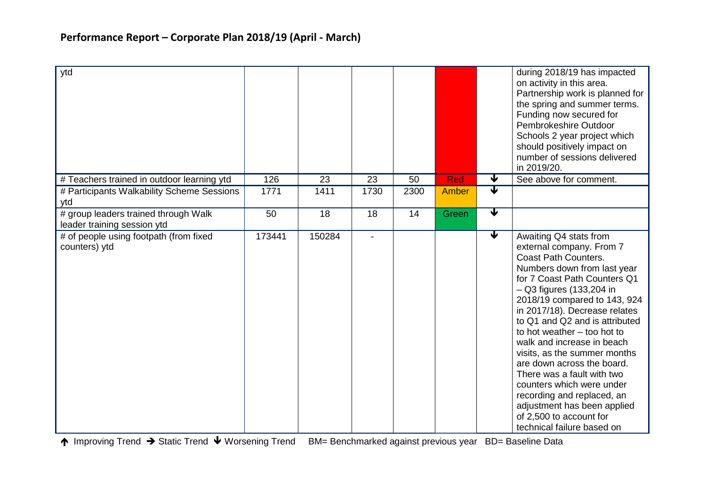| ytd                                                                 |        |        |                |      |       |                              | during 2018/19 has impacted<br>on activity in this area.<br>Partnership work is planned for<br>the spring and summer terms.<br>Funding now secured for<br>Pembrokeshire Outdoor<br>Schools 2 year project which<br>should positively impact on<br>number of sessions delivered<br>in 2019/20.                                                                                                                                                                                                                                                                                                 |
|---------------------------------------------------------------------|--------|--------|----------------|------|-------|------------------------------|-----------------------------------------------------------------------------------------------------------------------------------------------------------------------------------------------------------------------------------------------------------------------------------------------------------------------------------------------------------------------------------------------------------------------------------------------------------------------------------------------------------------------------------------------------------------------------------------------|
| # Teachers trained in outdoor learning ytd                          | 126    | 23     | 23             | 50   | Red   | V<br>$\overline{\mathbf{v}}$ | See above for comment.                                                                                                                                                                                                                                                                                                                                                                                                                                                                                                                                                                        |
| # Participants Walkability Scheme Sessions<br>ytd                   | 1771   | 1411   | 1730           | 2300 | Amber |                              |                                                                                                                                                                                                                                                                                                                                                                                                                                                                                                                                                                                               |
| # group leaders trained through Walk<br>leader training session ytd | 50     | 18     | 18             | 14   | Green | $\overline{\textbf{v}}$      |                                                                                                                                                                                                                                                                                                                                                                                                                                                                                                                                                                                               |
| # of people using footpath (from fixed<br>counters) ytd             | 173441 | 150284 | $\blacksquare$ |      |       | $\blacktriangledown$         | Awaiting Q4 stats from<br>external company. From 7<br><b>Coast Path Counters.</b><br>Numbers down from last year<br>for 7 Coast Path Counters Q1<br>$-$ Q3 figures (133,204 in<br>2018/19 compared to 143, 924<br>in 2017/18). Decrease relates<br>to Q1 and Q2 and is attributed<br>to hot weather – too hot to<br>walk and increase in beach<br>visits, as the summer months<br>are down across the board.<br>There was a fault with two<br>counters which were under<br>recording and replaced, an<br>adjustment has been applied<br>of 2,500 to account for<br>technical failure based on |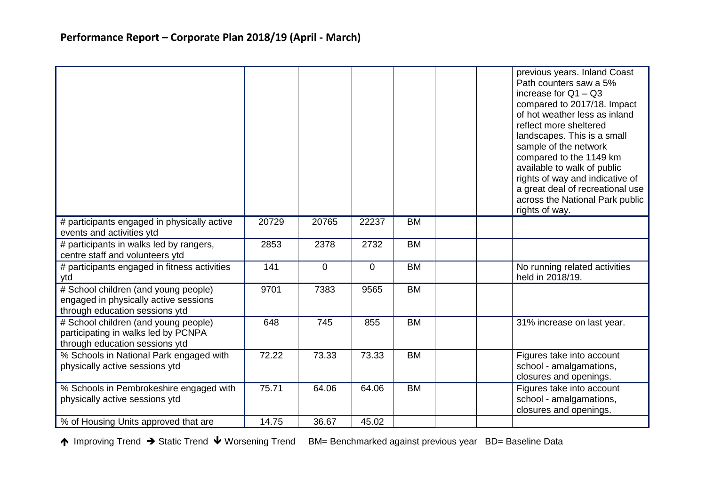|                                                                                                                 |       |                |                |           | previous years. Inland Coast<br>Path counters saw a 5%<br>increase for $Q1 - Q3$<br>compared to 2017/18. Impact<br>of hot weather less as inland<br>reflect more sheltered<br>landscapes. This is a small<br>sample of the network<br>compared to the 1149 km<br>available to walk of public<br>rights of way and indicative of<br>a great deal of recreational use<br>across the National Park public<br>rights of way. |
|-----------------------------------------------------------------------------------------------------------------|-------|----------------|----------------|-----------|--------------------------------------------------------------------------------------------------------------------------------------------------------------------------------------------------------------------------------------------------------------------------------------------------------------------------------------------------------------------------------------------------------------------------|
| # participants engaged in physically active<br>events and activities ytd                                        | 20729 | 20765          | 22237          | <b>BM</b> |                                                                                                                                                                                                                                                                                                                                                                                                                          |
| # participants in walks led by rangers,<br>centre staff and volunteers ytd                                      | 2853  | 2378           | 2732           | <b>BM</b> |                                                                                                                                                                                                                                                                                                                                                                                                                          |
| # participants engaged in fitness activities<br>ytd                                                             | 141   | $\overline{0}$ | $\overline{0}$ | <b>BM</b> | No running related activities<br>held in 2018/19.                                                                                                                                                                                                                                                                                                                                                                        |
| # School children (and young people)<br>engaged in physically active sessions<br>through education sessions ytd | 9701  | 7383           | 9565           | <b>BM</b> |                                                                                                                                                                                                                                                                                                                                                                                                                          |
| # School children (and young people)<br>participating in walks led by PCNPA<br>through education sessions ytd   | 648   | 745            | 855            | <b>BM</b> | 31% increase on last year.                                                                                                                                                                                                                                                                                                                                                                                               |
| % Schools in National Park engaged with<br>physically active sessions ytd                                       | 72.22 | 73.33          | 73.33          | <b>BM</b> | Figures take into account<br>school - amalgamations,<br>closures and openings.                                                                                                                                                                                                                                                                                                                                           |
| % Schools in Pembrokeshire engaged with<br>physically active sessions ytd                                       | 75.71 | 64.06          | 64.06          | <b>BM</b> | Figures take into account<br>school - amalgamations,<br>closures and openings.                                                                                                                                                                                                                                                                                                                                           |
| % of Housing Units approved that are                                                                            | 14.75 | 36.67          | 45.02          |           |                                                                                                                                                                                                                                                                                                                                                                                                                          |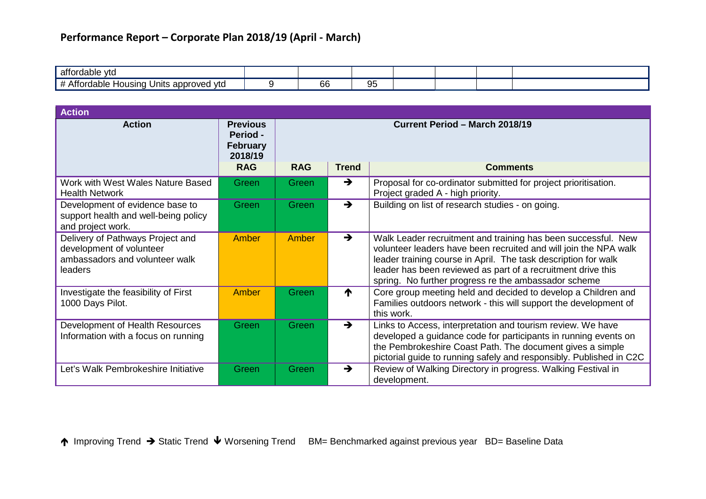| affordable<br>vtc.                                     |         |    |  |  |
|--------------------------------------------------------|---------|----|--|--|
| I Units approved ytd<br>rdable<br>Housına<br>ாபட<br>ww | ~<br>oc | ັບ |  |  |

| <b>Action</b>                                                                                             |                                                                  |                                       |               |                                                                                                                                                                                                                                                                                                                             |  |  |  |  |  |  |  |
|-----------------------------------------------------------------------------------------------------------|------------------------------------------------------------------|---------------------------------------|---------------|-----------------------------------------------------------------------------------------------------------------------------------------------------------------------------------------------------------------------------------------------------------------------------------------------------------------------------|--|--|--|--|--|--|--|
| <b>Action</b>                                                                                             | <b>Previous</b><br><b>Period -</b><br><b>February</b><br>2018/19 | <b>Current Period - March 2018/19</b> |               |                                                                                                                                                                                                                                                                                                                             |  |  |  |  |  |  |  |
|                                                                                                           | <b>RAG</b>                                                       | <b>RAG</b>                            | <b>Trend</b>  | <b>Comments</b>                                                                                                                                                                                                                                                                                                             |  |  |  |  |  |  |  |
| Work with West Wales Nature Based<br><b>Health Network</b>                                                | Green                                                            | <b>Green</b>                          | $\rightarrow$ | Proposal for co-ordinator submitted for project prioritisation.<br>Project graded A - high priority.                                                                                                                                                                                                                        |  |  |  |  |  |  |  |
| Development of evidence base to<br>support health and well-being policy<br>and project work.              | Green                                                            | Green                                 | $\rightarrow$ | Building on list of research studies - on going.                                                                                                                                                                                                                                                                            |  |  |  |  |  |  |  |
| Delivery of Pathways Project and<br>development of volunteer<br>ambassadors and volunteer walk<br>leaders | <b>Amber</b>                                                     | Amber                                 | $\rightarrow$ | Walk Leader recruitment and training has been successful. New<br>volunteer leaders have been recruited and will join the NPA walk<br>leader training course in April. The task description for walk<br>leader has been reviewed as part of a recruitment drive this<br>spring. No further progress re the ambassador scheme |  |  |  |  |  |  |  |
| Investigate the feasibility of First<br>1000 Days Pilot.                                                  | Amber                                                            | Green                                 | ↑             | Core group meeting held and decided to develop a Children and<br>Families outdoors network - this will support the development of<br>this work.                                                                                                                                                                             |  |  |  |  |  |  |  |
| Development of Health Resources<br>Information with a focus on running                                    | Green                                                            | Green                                 | $\rightarrow$ | Links to Access, interpretation and tourism review. We have<br>developed a guidance code for participants in running events on<br>the Pembrokeshire Coast Path. The document gives a simple<br>pictorial guide to running safely and responsibly. Published in C2C                                                          |  |  |  |  |  |  |  |
| Let's Walk Pembrokeshire Initiative                                                                       | Green                                                            | Green                                 | $\rightarrow$ | Review of Walking Directory in progress. Walking Festival in<br>development.                                                                                                                                                                                                                                                |  |  |  |  |  |  |  |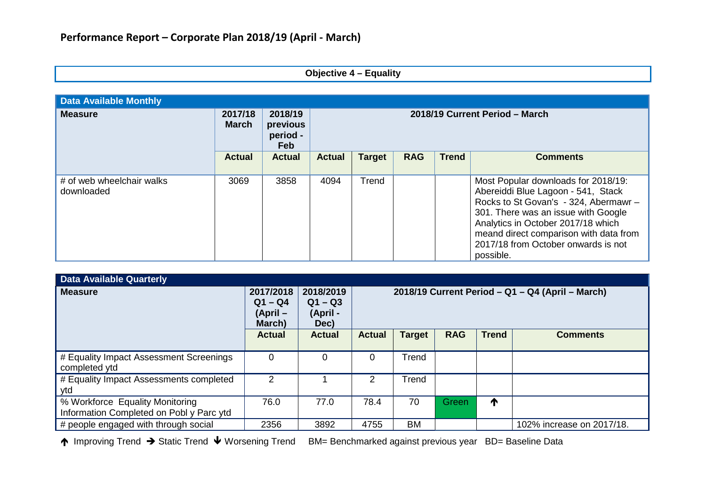### **Objective 4 – Equality**

| <b>Data Available Monthly</b>           |                         |                                               |                                |               |            |              |                                                                                                                                                                                                                                                                                               |  |  |  |
|-----------------------------------------|-------------------------|-----------------------------------------------|--------------------------------|---------------|------------|--------------|-----------------------------------------------------------------------------------------------------------------------------------------------------------------------------------------------------------------------------------------------------------------------------------------------|--|--|--|
| <b>Measure</b>                          | 2017/18<br><b>March</b> | 2018/19<br>previous<br>period -<br><b>Feb</b> | 2018/19 Current Period - March |               |            |              |                                                                                                                                                                                                                                                                                               |  |  |  |
|                                         | <b>Actual</b>           | <b>Actual</b>                                 | <b>Actual</b>                  | <b>Target</b> | <b>RAG</b> | <b>Trend</b> | <b>Comments</b>                                                                                                                                                                                                                                                                               |  |  |  |
| # of web wheelchair walks<br>downloaded | 3069                    | 3858                                          | 4094                           | Trend         |            |              | Most Popular downloads for 2018/19:<br>Abereiddi Blue Lagoon - 541, Stack<br>Rocks to St Govan's - 324, Abermawr -<br>301. There was an issue with Google<br>Analytics in October 2017/18 which<br>meand direct comparison with data from<br>2017/18 from October onwards is not<br>possible. |  |  |  |

| <b>Data Available Quarterly</b>                                             |                                                |                                            |                                                  |               |            |              |                           |  |  |
|-----------------------------------------------------------------------------|------------------------------------------------|--------------------------------------------|--------------------------------------------------|---------------|------------|--------------|---------------------------|--|--|
| <b>Measure</b>                                                              | 2017/2018<br>$Q1 - Q4$<br>$(April -$<br>March) | 2018/2019<br>$Q1 - Q3$<br>(April -<br>Dec) | 2018/19 Current Period - Q1 - Q4 (April - March) |               |            |              |                           |  |  |
|                                                                             | <b>Actual</b>                                  | <b>Actual</b>                              | <b>Actual</b>                                    | <b>Target</b> | <b>RAG</b> | <b>Trend</b> | <b>Comments</b>           |  |  |
| # Equality Impact Assessment Screenings<br>completed ytd                    | $\Omega$                                       | 0                                          | 0                                                | Trend         |            |              |                           |  |  |
| # Equality Impact Assessments completed<br>ytd                              | 2                                              |                                            | 2                                                | Trend         |            |              |                           |  |  |
| % Workforce Equality Monitoring<br>Information Completed on Pobl y Parc ytd | 76.0                                           | 77.0                                       | 78.4                                             | 70            | Green      | T            |                           |  |  |
| # people engaged with through social                                        | 2356                                           | 3892                                       | 4755                                             | <b>BM</b>     |            |              | 102% increase on 2017/18. |  |  |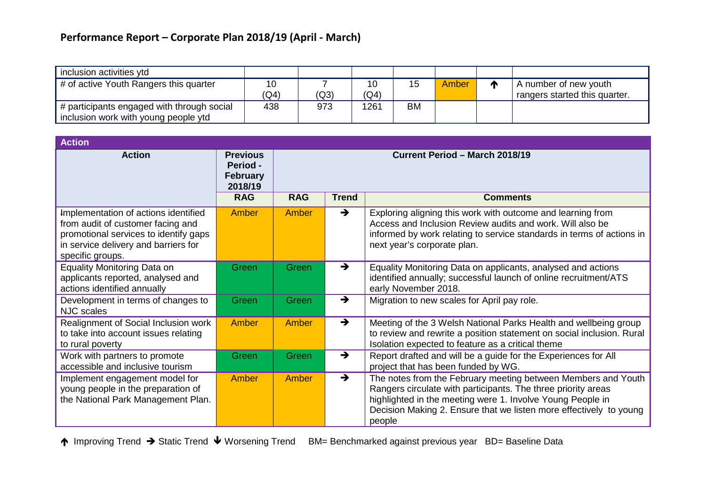| inclusion activities ytd                                                           |            |      |            |    |       |                                                        |
|------------------------------------------------------------------------------------|------------|------|------------|----|-------|--------------------------------------------------------|
| # of active Youth Rangers this quarter                                             | 10<br>(Q4) | (Q3) | 10<br>(Q4) | 15 | Amber | A number of new youth<br>rangers started this quarter. |
| # participants engaged with through social<br>inclusion work with young people ytd | 438        | 973  | 1261       | BM |       |                                                        |

| <b>Action</b>                                                                                                                                                                  |                                                           |                                |               |                                                                                                                                                                                                                                                                              |  |  |  |
|--------------------------------------------------------------------------------------------------------------------------------------------------------------------------------|-----------------------------------------------------------|--------------------------------|---------------|------------------------------------------------------------------------------------------------------------------------------------------------------------------------------------------------------------------------------------------------------------------------------|--|--|--|
| <b>Action</b>                                                                                                                                                                  | <b>Previous</b><br>Period -<br><b>February</b><br>2018/19 | Current Period - March 2018/19 |               |                                                                                                                                                                                                                                                                              |  |  |  |
|                                                                                                                                                                                | <b>RAG</b>                                                | <b>RAG</b>                     | <b>Trend</b>  | <b>Comments</b>                                                                                                                                                                                                                                                              |  |  |  |
| Implementation of actions identified<br>from audit of customer facing and<br>promotional services to identify gaps<br>in service delivery and barriers for<br>specific groups. | Amber                                                     | Amber                          | $\rightarrow$ | Exploring aligning this work with outcome and learning from<br>Access and Inclusion Review audits and work. Will also be<br>informed by work relating to service standards in terms of actions in<br>next year's corporate plan.                                             |  |  |  |
| Equality Monitoring Data on<br>applicants reported, analysed and<br>actions identified annually                                                                                | Green                                                     | Green                          | $\rightarrow$ | Equality Monitoring Data on applicants, analysed and actions<br>identified annually; successful launch of online recruitment/ATS<br>early November 2018.                                                                                                                     |  |  |  |
| Development in terms of changes to<br><b>NJC</b> scales                                                                                                                        | Green                                                     | Green                          | $\rightarrow$ | Migration to new scales for April pay role.                                                                                                                                                                                                                                  |  |  |  |
| Realignment of Social Inclusion work<br>to take into account issues relating<br>to rural poverty                                                                               | Amber                                                     | Amber                          | $\rightarrow$ | Meeting of the 3 Welsh National Parks Health and wellbeing group<br>to review and rewrite a position statement on social inclusion. Rural<br>Isolation expected to feature as a critical theme                                                                               |  |  |  |
| Work with partners to promote<br>accessible and inclusive tourism                                                                                                              | Green                                                     | Green                          | $\rightarrow$ | Report drafted and will be a guide for the Experiences for All<br>project that has been funded by WG.                                                                                                                                                                        |  |  |  |
| Implement engagement model for<br>young people in the preparation of<br>the National Park Management Plan.                                                                     | Amber                                                     | Amber                          | $\rightarrow$ | The notes from the February meeting between Members and Youth<br>Rangers circulate with participants. The three priority areas<br>highlighted in the meeting were 1. Involve Young People in<br>Decision Making 2. Ensure that we listen more effectively to young<br>people |  |  |  |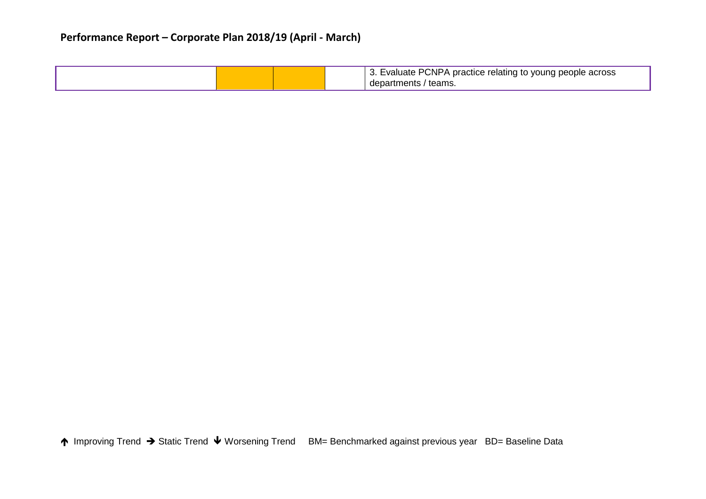|  |  | 3. Evaluate PCNPA practice relating to young people across |
|--|--|------------------------------------------------------------|
|  |  | departments / teams.                                       |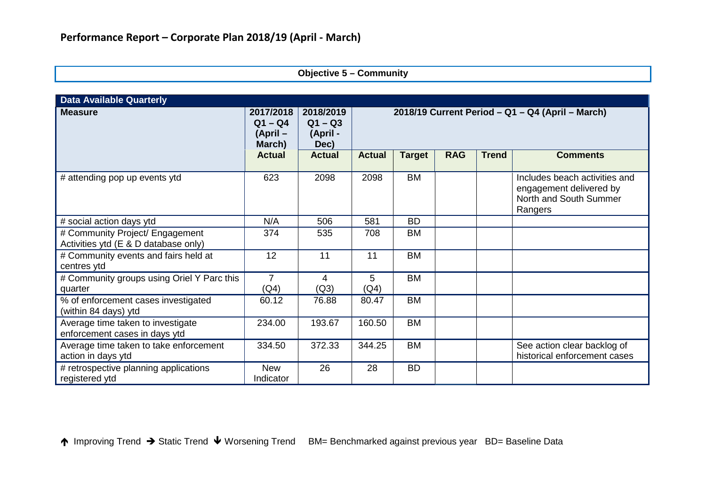### **Objective 5 – Community**

| <b>Data Available Quarterly</b>                                         |                                                |                                            |                                                  |               |            |              |                                                                                               |  |  |  |
|-------------------------------------------------------------------------|------------------------------------------------|--------------------------------------------|--------------------------------------------------|---------------|------------|--------------|-----------------------------------------------------------------------------------------------|--|--|--|
| <b>Measure</b>                                                          | 2017/2018<br>$Q1 - Q4$<br>$(April -$<br>March) | 2018/2019<br>$Q1 - Q3$<br>(April -<br>Dec) | 2018/19 Current Period - Q1 - Q4 (April - March) |               |            |              |                                                                                               |  |  |  |
|                                                                         | <b>Actual</b>                                  | <b>Actual</b>                              | <b>Actual</b>                                    | <b>Target</b> | <b>RAG</b> | <b>Trend</b> | <b>Comments</b>                                                                               |  |  |  |
| # attending pop up events ytd                                           | 623                                            | 2098                                       | 2098                                             | <b>BM</b>     |            |              | Includes beach activities and<br>engagement delivered by<br>North and South Summer<br>Rangers |  |  |  |
| # social action days ytd                                                | N/A                                            | 506                                        | 581                                              | <b>BD</b>     |            |              |                                                                                               |  |  |  |
| # Community Project/ Engagement<br>Activities ytd (E & D database only) | 374                                            | 535                                        | 708                                              | <b>BM</b>     |            |              |                                                                                               |  |  |  |
| # Community events and fairs held at<br>centres ytd                     | 12                                             | 11                                         | 11                                               | <b>BM</b>     |            |              |                                                                                               |  |  |  |
| # Community groups using Oriel Y Parc this<br>quarter                   | $\overline{7}$<br>(Q4)                         | 4<br>(Q3)                                  | 5<br>(Q4)                                        | <b>BM</b>     |            |              |                                                                                               |  |  |  |
| % of enforcement cases investigated<br>(within 84 days) ytd             | 60.12                                          | 76.88                                      | 80.47                                            | <b>BM</b>     |            |              |                                                                                               |  |  |  |
| Average time taken to investigate<br>enforcement cases in days ytd      | 234.00                                         | 193.67                                     | 160.50                                           | <b>BM</b>     |            |              |                                                                                               |  |  |  |
| Average time taken to take enforcement<br>action in days ytd            | 334.50                                         | 372.33                                     | 344.25                                           | <b>BM</b>     |            |              | See action clear backlog of<br>historical enforcement cases                                   |  |  |  |
| # retrospective planning applications<br>registered ytd                 | <b>New</b><br>Indicator                        | 26                                         | 28                                               | <b>BD</b>     |            |              |                                                                                               |  |  |  |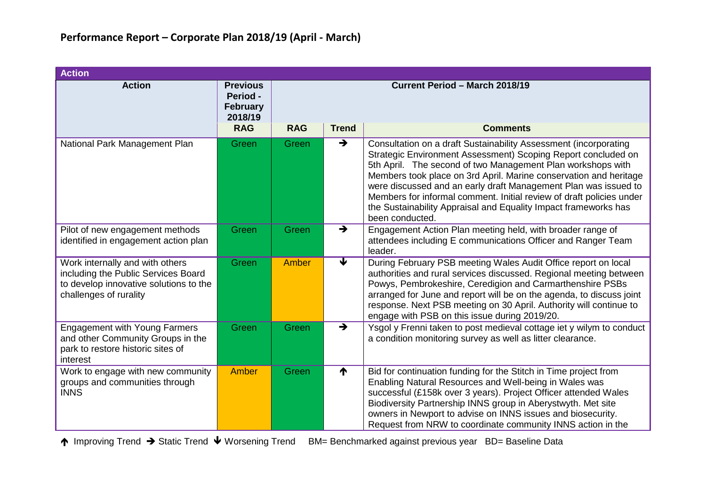| <b>Action</b>                                                                                                                              |                                                           |                                |                         |                                                                                                                                                                                                                                                                                                                                                                                                                                                                                                        |  |  |  |  |
|--------------------------------------------------------------------------------------------------------------------------------------------|-----------------------------------------------------------|--------------------------------|-------------------------|--------------------------------------------------------------------------------------------------------------------------------------------------------------------------------------------------------------------------------------------------------------------------------------------------------------------------------------------------------------------------------------------------------------------------------------------------------------------------------------------------------|--|--|--|--|
| <b>Action</b>                                                                                                                              | <b>Previous</b><br>Period -<br><b>February</b><br>2018/19 | Current Period - March 2018/19 |                         |                                                                                                                                                                                                                                                                                                                                                                                                                                                                                                        |  |  |  |  |
|                                                                                                                                            | <b>RAG</b>                                                | <b>RAG</b>                     | <b>Trend</b>            | <b>Comments</b>                                                                                                                                                                                                                                                                                                                                                                                                                                                                                        |  |  |  |  |
| National Park Management Plan                                                                                                              | Green                                                     | Green                          | $\rightarrow$           | Consultation on a draft Sustainability Assessment (incorporating<br>Strategic Environment Assessment) Scoping Report concluded on<br>5th April. The second of two Management Plan workshops with<br>Members took place on 3rd April. Marine conservation and heritage<br>were discussed and an early draft Management Plan was issued to<br>Members for informal comment. Initial review of draft policies under<br>the Sustainability Appraisal and Equality Impact frameworks has<br>been conducted. |  |  |  |  |
| Pilot of new engagement methods<br>identified in engagement action plan                                                                    | Green                                                     | Green                          | $\rightarrow$           | Engagement Action Plan meeting held, with broader range of<br>attendees including E communications Officer and Ranger Team<br>leader.                                                                                                                                                                                                                                                                                                                                                                  |  |  |  |  |
| Work internally and with others<br>including the Public Services Board<br>to develop innovative solutions to the<br>challenges of rurality | Green                                                     | Amber                          | $\overline{\textbf{v}}$ | During February PSB meeting Wales Audit Office report on local<br>authorities and rural services discussed. Regional meeting between<br>Powys, Pembrokeshire, Ceredigion and Carmarthenshire PSBs<br>arranged for June and report will be on the agenda, to discuss joint<br>response. Next PSB meeting on 30 April. Authority will continue to<br>engage with PSB on this issue during 2019/20.                                                                                                       |  |  |  |  |
| <b>Engagement with Young Farmers</b><br>and other Community Groups in the<br>park to restore historic sites of<br>interest                 | Green                                                     | Green                          | $\rightarrow$           | Ysgol y Frenni taken to post medieval cottage iet y wilym to conduct<br>a condition monitoring survey as well as litter clearance.                                                                                                                                                                                                                                                                                                                                                                     |  |  |  |  |
| Work to engage with new community<br>groups and communities through<br><b>INNS</b>                                                         | Amber                                                     | Green                          | ↑                       | Bid for continuation funding for the Stitch in Time project from<br>Enabling Natural Resources and Well-being in Wales was<br>successful (£158k over 3 years). Project Officer attended Wales<br>Biodiversity Partnership INNS group in Aberystwyth. Met site<br>owners in Newport to advise on INNS issues and biosecurity.<br>Request from NRW to coordinate community INNS action in the                                                                                                            |  |  |  |  |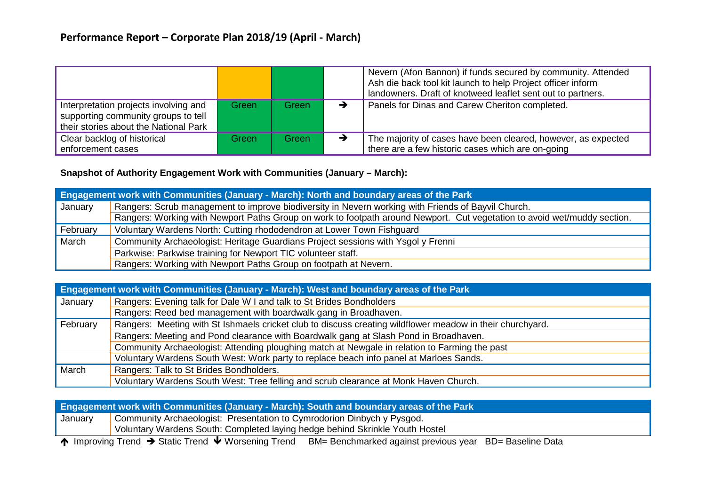|                                                                                                                       |       |       | Nevern (Afon Bannon) if funds secured by community. Attended<br>Ash die back tool kit launch to help Project officer inform<br>landowners. Draft of knotweed leaflet sent out to partners. |
|-----------------------------------------------------------------------------------------------------------------------|-------|-------|--------------------------------------------------------------------------------------------------------------------------------------------------------------------------------------------|
| Interpretation projects involving and<br>supporting community groups to tell<br>their stories about the National Park | Green | Green | Panels for Dinas and Carew Cheriton completed.                                                                                                                                             |
| Clear backlog of historical<br>enforcement cases                                                                      | Green | Green | The majority of cases have been cleared, however, as expected<br>there are a few historic cases which are on-going                                                                         |

### **Snapshot of Authority Engagement Work with Communities (January – March):**

|          | <b>Engagement work with Communities (January - March): North and boundary areas of the Park</b>                          |  |  |  |  |  |  |  |
|----------|--------------------------------------------------------------------------------------------------------------------------|--|--|--|--|--|--|--|
| January  | Rangers: Scrub management to improve biodiversity in Nevern working with Friends of Bayvil Church.                       |  |  |  |  |  |  |  |
|          | Rangers: Working with Newport Paths Group on work to footpath around Newport. Cut vegetation to avoid wet/muddy section. |  |  |  |  |  |  |  |
| February | Voluntary Wardens North: Cutting rhododendron at Lower Town Fishguard                                                    |  |  |  |  |  |  |  |
| March    | Community Archaeologist: Heritage Guardians Project sessions with Ysgol y Frenni                                         |  |  |  |  |  |  |  |
|          | Parkwise: Parkwise training for Newport TIC volunteer staff.                                                             |  |  |  |  |  |  |  |
|          | Rangers: Working with Newport Paths Group on footpath at Nevern.                                                         |  |  |  |  |  |  |  |

|          | Engagement work with Communities (January - March): West and boundary areas of the Park                   |  |  |  |  |  |  |  |
|----------|-----------------------------------------------------------------------------------------------------------|--|--|--|--|--|--|--|
| January  | Rangers: Evening talk for Dale W I and talk to St Brides Bondholders                                      |  |  |  |  |  |  |  |
|          | Rangers: Reed bed management with boardwalk gang in Broadhaven.                                           |  |  |  |  |  |  |  |
| February | Rangers: Meeting with St Ishmaels cricket club to discuss creating wildflower meadow in their churchyard. |  |  |  |  |  |  |  |
|          | Rangers: Meeting and Pond clearance with Boardwalk gang at Slash Pond in Broadhaven.                      |  |  |  |  |  |  |  |
|          | Community Archaeologist: Attending ploughing match at Newgale in relation to Farming the past             |  |  |  |  |  |  |  |
|          | Voluntary Wardens South West: Work party to replace beach info panel at Marloes Sands.                    |  |  |  |  |  |  |  |
| March    | Rangers: Talk to St Brides Bondholders.                                                                   |  |  |  |  |  |  |  |
|          | Voluntary Wardens South West: Tree felling and scrub clearance at Monk Haven Church.                      |  |  |  |  |  |  |  |

| <b>Engagement work with Communities (January - March): South and boundary areas of the Park</b> |                                                                                                                                                  |  |  |  |  |  |  |
|-------------------------------------------------------------------------------------------------|--------------------------------------------------------------------------------------------------------------------------------------------------|--|--|--|--|--|--|
| January                                                                                         | Community Archaeologist: Presentation to Cymrodorion Dinbych y Pysgod.                                                                           |  |  |  |  |  |  |
| Voluntary Wardens South: Completed laying hedge behind Skrinkle Youth Hostel                    |                                                                                                                                                  |  |  |  |  |  |  |
|                                                                                                 | $\bullet$ . The $\bullet$ . The set of $\bullet$ in the set of $\bullet$ in the set of $\bullet$ in the set of $\bullet$ in the set of $\bullet$ |  |  |  |  |  |  |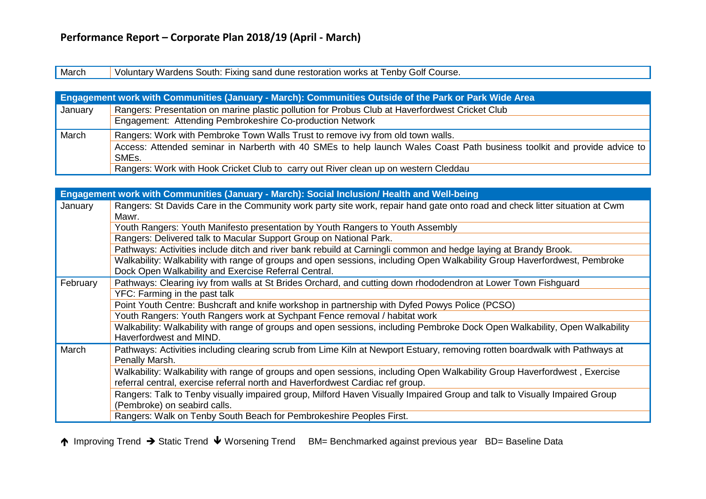March Voluntary Wardens South: Fixing sand dune restoration works at Tenby Golf Course.

|         | <b>Engagement work with Communities (January - March): Communities Outside of the Park or Park Wide Area</b>                      |  |  |  |  |  |  |  |
|---------|-----------------------------------------------------------------------------------------------------------------------------------|--|--|--|--|--|--|--|
| January | Rangers: Presentation on marine plastic pollution for Probus Club at Haverfordwest Cricket Club                                   |  |  |  |  |  |  |  |
|         | Engagement: Attending Pembrokeshire Co-production Network                                                                         |  |  |  |  |  |  |  |
| March   | Rangers: Work with Pembroke Town Walls Trust to remove ivy from old town walls.                                                   |  |  |  |  |  |  |  |
|         | Access: Attended seminar in Narberth with 40 SMEs to help launch Wales Coast Path business toolkit and provide advice to<br>SMEs. |  |  |  |  |  |  |  |
|         | Rangers: Work with Hook Cricket Club to carry out River clean up on western Cleddau                                               |  |  |  |  |  |  |  |

|          | Engagement work with Communities (January - March): Social Inclusion/ Health and Well-being                                                                                                                 |
|----------|-------------------------------------------------------------------------------------------------------------------------------------------------------------------------------------------------------------|
| January  | Rangers: St Davids Care in the Community work party site work, repair hand gate onto road and check litter situation at Cwm<br>Mawr.                                                                        |
|          | Youth Rangers: Youth Manifesto presentation by Youth Rangers to Youth Assembly                                                                                                                              |
|          | Rangers: Delivered talk to Macular Support Group on National Park.                                                                                                                                          |
|          | Pathways: Activities include ditch and river bank rebuild at Carningli common and hedge laying at Brandy Brook.                                                                                             |
|          | Walkability: Walkability with range of groups and open sessions, including Open Walkability Group Haverfordwest, Pembroke<br>Dock Open Walkability and Exercise Referral Central.                           |
| February | Pathways: Clearing ivy from walls at St Brides Orchard, and cutting down rhododendron at Lower Town Fishguard                                                                                               |
|          | YFC: Farming in the past talk                                                                                                                                                                               |
|          | Point Youth Centre: Bushcraft and knife workshop in partnership with Dyfed Powys Police (PCSO)                                                                                                              |
|          | Youth Rangers: Youth Rangers work at Sychpant Fence removal / habitat work                                                                                                                                  |
|          | Walkability: Walkability with range of groups and open sessions, including Pembroke Dock Open Walkability, Open Walkability<br>Haverfordwest and MIND.                                                      |
| March    | Pathways: Activities including clearing scrub from Lime Kiln at Newport Estuary, removing rotten boardwalk with Pathways at<br>Penally Marsh.                                                               |
|          | Walkability: Walkability with range of groups and open sessions, including Open Walkability Group Haverfordwest, Exercise<br>referral central, exercise referral north and Haverfordwest Cardiac ref group. |
|          | Rangers: Talk to Tenby visually impaired group, Milford Haven Visually Impaired Group and talk to Visually Impaired Group<br>(Pembroke) on seabird calls.                                                   |
|          | Rangers: Walk on Tenby South Beach for Pembrokeshire Peoples First.                                                                                                                                         |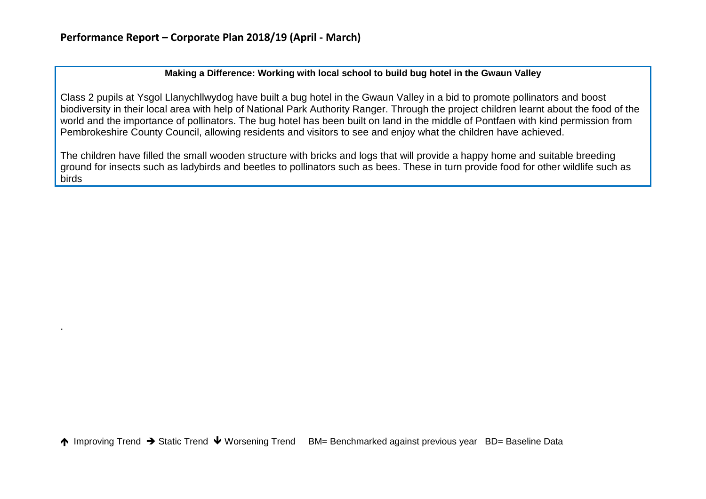.

### **Making a Difference: Working with local school to build bug hotel in the Gwaun Valley**

Class 2 pupils at Ysgol Llanychllwydog have built a bug hotel in the Gwaun Valley in a bid to promote pollinators and boost biodiversity in their local area with help of National Park Authority Ranger. Through the project children learnt about the food of the world and the importance of pollinators. The bug hotel has been built on land in the middle of Pontfaen with kind permission from Pembrokeshire County Council, allowing residents and visitors to see and enjoy what the children have achieved.

The children have filled the small wooden structure with bricks and logs that will provide a happy home and suitable breeding ground for insects such as ladybirds and beetles to pollinators such as bees. These in turn provide food for other wildlife such as birds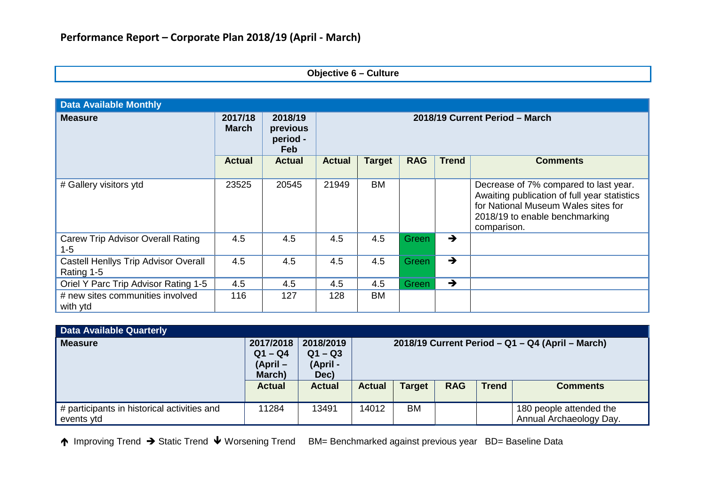### **Objective 6 – Culture**

| <b>Data Available Monthly</b>                             |                         |                                               |                                |               |              |               |                                                                                                                                                                               |  |  |
|-----------------------------------------------------------|-------------------------|-----------------------------------------------|--------------------------------|---------------|--------------|---------------|-------------------------------------------------------------------------------------------------------------------------------------------------------------------------------|--|--|
| <b>Measure</b>                                            | 2017/18<br><b>March</b> | 2018/19<br>previous<br>period -<br><b>Feb</b> | 2018/19 Current Period - March |               |              |               |                                                                                                                                                                               |  |  |
|                                                           | <b>Actual</b>           | <b>Actual</b>                                 | <b>Actual</b>                  | <b>Target</b> | <b>RAG</b>   | <b>Trend</b>  | <b>Comments</b>                                                                                                                                                               |  |  |
| # Gallery visitors ytd                                    | 23525                   | 20545                                         | 21949                          | <b>BM</b>     |              |               | Decrease of 7% compared to last year.<br>Awaiting publication of full year statistics<br>for National Museum Wales sites for<br>2018/19 to enable benchmarking<br>comparison. |  |  |
| <b>Carew Trip Advisor Overall Rating</b><br>$1 - 5$       | 4.5                     | 4.5                                           | 4.5                            | 4.5           | <b>Green</b> | $\rightarrow$ |                                                                                                                                                                               |  |  |
| <b>Castell Henllys Trip Advisor Overall</b><br>Rating 1-5 | 4.5                     | 4.5                                           | 4.5                            | 4.5           | Green        | $\rightarrow$ |                                                                                                                                                                               |  |  |
| Oriel Y Parc Trip Advisor Rating 1-5                      | 4.5                     | 4.5                                           | 4.5                            | 4.5           | Green        | $\rightarrow$ |                                                                                                                                                                               |  |  |
| # new sites communities involved<br>with ytd              | 116                     | 127                                           | 128                            | BM            |              |               |                                                                                                                                                                               |  |  |

| <b>Data Available Quarterly</b>             |                        |               |                                                  |               |            |              |                         |  |  |
|---------------------------------------------|------------------------|---------------|--------------------------------------------------|---------------|------------|--------------|-------------------------|--|--|
| <b>Measure</b>                              | 2017/2018              | 2018/2019     | 2018/19 Current Period - Q1 - Q4 (April - March) |               |            |              |                         |  |  |
|                                             | $Q1 - Q4$<br>$Q1 - Q3$ |               |                                                  |               |            |              |                         |  |  |
|                                             | (April –               | (April -      |                                                  |               |            |              |                         |  |  |
|                                             | March)                 | Dec)          |                                                  |               |            |              |                         |  |  |
|                                             | <b>Actual</b>          | <b>Actual</b> | <b>Actual</b>                                    | <b>Target</b> | <b>RAG</b> | <b>Trend</b> | <b>Comments</b>         |  |  |
|                                             |                        |               |                                                  |               |            |              |                         |  |  |
| # participants in historical activities and | 11284                  | 13491         | 14012                                            | <b>BM</b>     |            |              | 180 people attended the |  |  |
| events ytd                                  |                        |               |                                                  |               |            |              | Annual Archaeology Day. |  |  |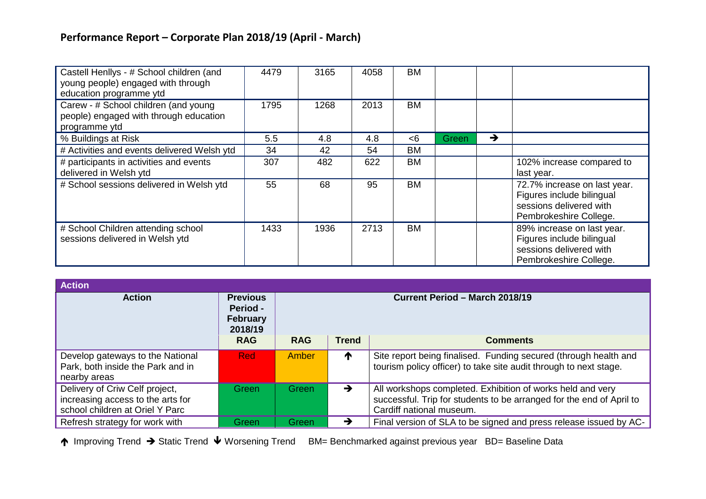| Castell Henllys - # School children (and<br>young people) engaged with through<br>education programme ytd | 4479 | 3165 | 4058 | <b>BM</b> |       |               |                                                                                                                |
|-----------------------------------------------------------------------------------------------------------|------|------|------|-----------|-------|---------------|----------------------------------------------------------------------------------------------------------------|
| Carew - # School children (and young<br>people) engaged with through education<br>programme ytd           | 1795 | 1268 | 2013 | <b>BM</b> |       |               |                                                                                                                |
| % Buildings at Risk                                                                                       | 5.5  | 4.8  | 4.8  | $<$ 6     | Green | $\rightarrow$ |                                                                                                                |
| # Activities and events delivered Welsh ytd                                                               | 34   | 42   | 54   | <b>BM</b> |       |               |                                                                                                                |
| # participants in activities and events<br>delivered in Welsh ytd                                         | 307  | 482  | 622  | <b>BM</b> |       |               | 102% increase compared to<br>last year.                                                                        |
| # School sessions delivered in Welsh ytd                                                                  | 55   | 68   | 95   | <b>BM</b> |       |               | 72.7% increase on last year.<br>Figures include bilingual<br>sessions delivered with<br>Pembrokeshire College. |
| # School Children attending school<br>sessions delivered in Welsh ytd                                     | 1433 | 1936 | 2713 | <b>BM</b> |       |               | 89% increase on last year.<br>Figures include bilingual<br>sessions delivered with<br>Pembrokeshire College.   |

| <b>Action</b>                                                                                          |                                                    |                                |               |                                                                                                                                                                |  |  |  |  |  |  |  |  |  |
|--------------------------------------------------------------------------------------------------------|----------------------------------------------------|--------------------------------|---------------|----------------------------------------------------------------------------------------------------------------------------------------------------------------|--|--|--|--|--|--|--|--|--|
| <b>Action</b>                                                                                          | <b>Previous</b><br>Period -<br>February<br>2018/19 | Current Period - March 2018/19 |               |                                                                                                                                                                |  |  |  |  |  |  |  |  |  |
|                                                                                                        | <b>RAG</b>                                         | <b>RAG</b>                     | <b>Trend</b>  | <b>Comments</b>                                                                                                                                                |  |  |  |  |  |  |  |  |  |
| Develop gateways to the National<br>Park, both inside the Park and in<br>nearby areas                  | <b>Red</b>                                         | Amber                          | T             | Site report being finalised. Funding secured (through health and<br>tourism policy officer) to take site audit through to next stage.                          |  |  |  |  |  |  |  |  |  |
| Delivery of Criw Celf project,<br>increasing access to the arts for<br>school children at Oriel Y Parc | Green                                              | Green                          | $\rightarrow$ | All workshops completed. Exhibition of works held and very<br>successful. Trip for students to be arranged for the end of April to<br>Cardiff national museum. |  |  |  |  |  |  |  |  |  |
| Refresh strategy for work with                                                                         | <b>Green</b>                                       | Green                          | →             | Final version of SLA to be signed and press release issued by AC-                                                                                              |  |  |  |  |  |  |  |  |  |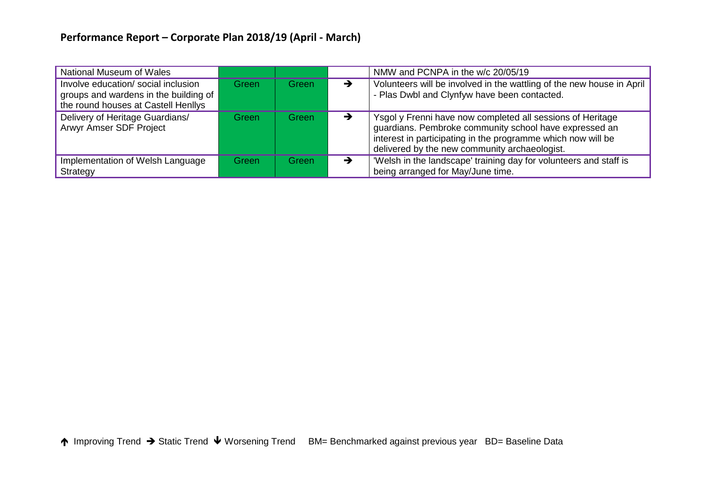| National Museum of Wales                                                                                            |       |       |               | NMW and PCNPA in the w/c 20/05/19                                                                                                                                                                                                     |
|---------------------------------------------------------------------------------------------------------------------|-------|-------|---------------|---------------------------------------------------------------------------------------------------------------------------------------------------------------------------------------------------------------------------------------|
| Involve education/ social inclusion<br>groups and wardens in the building of<br>the round houses at Castell Henllys | Green | Green | →             | Volunteers will be involved in the wattling of the new house in April<br>- Plas Dwbl and Clynfyw have been contacted.                                                                                                                 |
| Delivery of Heritage Guardians/<br>Arwyr Amser SDF Project                                                          | Green | Green | $\rightarrow$ | Ysgol y Frenni have now completed all sessions of Heritage<br>guardians. Pembroke community school have expressed an<br>interest in participating in the programme which now will be<br>delivered by the new community archaeologist. |
| Implementation of Welsh Language<br>Strategy                                                                        | Green | Green | →             | 'Welsh in the landscape' training day for volunteers and staff is<br>being arranged for May/June time.                                                                                                                                |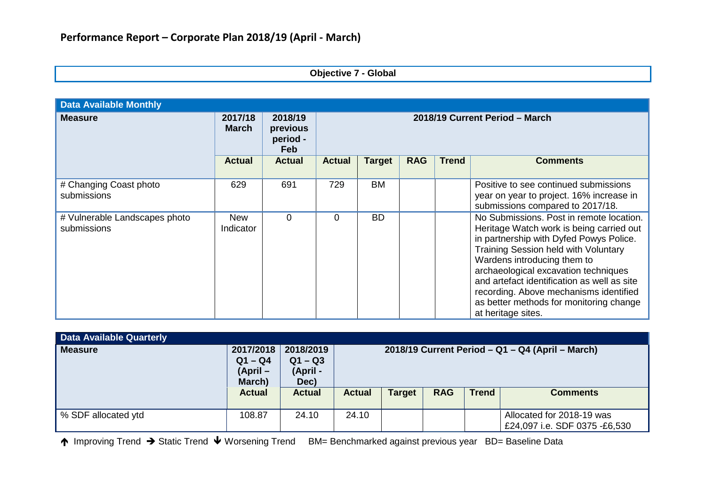### **Objective 7 - Global**

| <b>Data Available Monthly</b>                |                         |                                        |                                |               |            |              |                                                                                                                                                                                                                                                                                                                                                                                                                 |  |
|----------------------------------------------|-------------------------|----------------------------------------|--------------------------------|---------------|------------|--------------|-----------------------------------------------------------------------------------------------------------------------------------------------------------------------------------------------------------------------------------------------------------------------------------------------------------------------------------------------------------------------------------------------------------------|--|
| <b>Measure</b>                               | 2017/18<br><b>March</b> | 2018/19<br>previous<br>period -<br>Feb | 2018/19 Current Period - March |               |            |              |                                                                                                                                                                                                                                                                                                                                                                                                                 |  |
|                                              | <b>Actual</b>           | <b>Actual</b>                          | <b>Actual</b>                  | <b>Target</b> | <b>RAG</b> | <b>Trend</b> | <b>Comments</b>                                                                                                                                                                                                                                                                                                                                                                                                 |  |
| # Changing Coast photo<br>submissions        | 629                     | 691                                    | 729                            | <b>BM</b>     |            |              | Positive to see continued submissions<br>year on year to project. 16% increase in<br>submissions compared to 2017/18.                                                                                                                                                                                                                                                                                           |  |
| # Vulnerable Landscapes photo<br>submissions | <b>New</b><br>Indicator | 0                                      | 0                              | <b>BD</b>     |            |              | No Submissions. Post in remote location.<br>Heritage Watch work is being carried out<br>in partnership with Dyfed Powys Police.<br><b>Training Session held with Voluntary</b><br>Wardens introducing them to<br>archaeological excavation techniques<br>and artefact identification as well as site<br>recording. Above mechanisms identified<br>as better methods for monitoring change<br>at heritage sites. |  |

| <b>Data Available Quarterly</b> |                                                                 |                                                             |                                                                                                                    |  |  |  |                                                            |
|---------------------------------|-----------------------------------------------------------------|-------------------------------------------------------------|--------------------------------------------------------------------------------------------------------------------|--|--|--|------------------------------------------------------------|
| Measure                         | 2017/2018<br>$Q1 - Q4$<br>$(April -$<br>March)<br><b>Actual</b> | 2018/2019<br>$Q1 - Q3$<br>(April -<br>Dec)<br><b>Actual</b> | 2018/19 Current Period – Q1 – Q4 (April – March)<br><b>RAG</b><br><b>Trend</b><br><b>Target</b><br><b>Comments</b> |  |  |  |                                                            |
|                                 |                                                                 |                                                             | <b>Actual</b>                                                                                                      |  |  |  |                                                            |
| ↓% SDF allocated ytd            | 108.87                                                          | 24.10                                                       | 24.10                                                                                                              |  |  |  | Allocated for 2018-19 was<br>£24,097 i.e. SDF 0375 -£6,530 |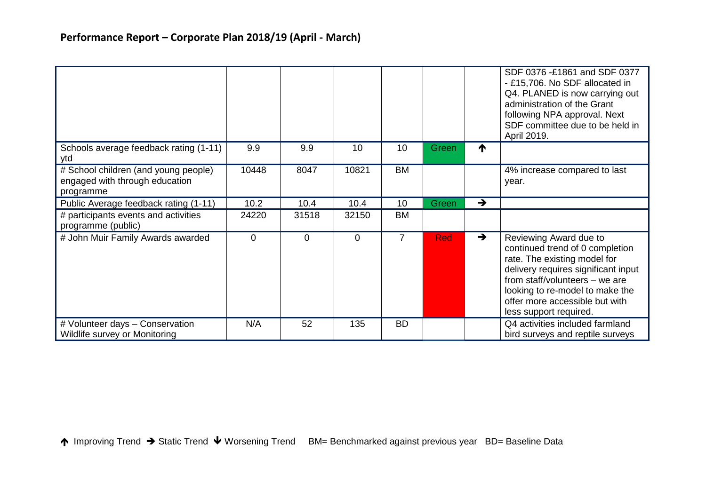|                                                                                     |          |          |       |                |            |               | SDF 0376 -£1861 and SDF 0377<br>- £15,706. No SDF allocated in<br>Q4. PLANED is now carrying out<br>administration of the Grant<br>following NPA approval. Next<br>SDF committee due to be held in<br>April 2019.                                                 |
|-------------------------------------------------------------------------------------|----------|----------|-------|----------------|------------|---------------|-------------------------------------------------------------------------------------------------------------------------------------------------------------------------------------------------------------------------------------------------------------------|
| Schools average feedback rating (1-11)<br>ytd                                       | 9.9      | 9.9      | 10    | 10             | Green      | ↑             |                                                                                                                                                                                                                                                                   |
| # School children (and young people)<br>engaged with through education<br>programme | 10448    | 8047     | 10821 | <b>BM</b>      |            |               | 4% increase compared to last<br>year.                                                                                                                                                                                                                             |
| Public Average feedback rating (1-11)                                               | 10.2     | 10.4     | 10.4  | 10             | Green      | $\rightarrow$ |                                                                                                                                                                                                                                                                   |
| # participants events and activities<br>programme (public)                          | 24220    | 31518    | 32150 | <b>BM</b>      |            |               |                                                                                                                                                                                                                                                                   |
| # John Muir Family Awards awarded                                                   | $\Omega$ | $\Omega$ | 0     | $\overline{7}$ | <b>Red</b> | $\rightarrow$ | Reviewing Award due to<br>continued trend of 0 completion<br>rate. The existing model for<br>delivery requires significant input<br>from staff/volunteers - we are<br>looking to re-model to make the<br>offer more accessible but with<br>less support required. |
| # Volunteer days - Conservation<br>Wildlife survey or Monitoring                    | N/A      | 52       | 135   | <b>BD</b>      |            |               | Q4 activities included farmland<br>bird surveys and reptile surveys                                                                                                                                                                                               |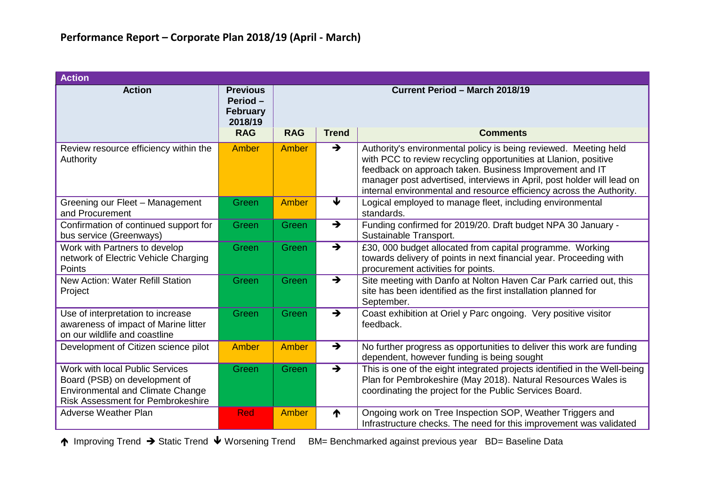| <b>Action</b>                                                                                                                                           |                                                          |                                       |                         |                                                                                                                                                                                                                                                                                                                                                  |  |  |  |  |
|---------------------------------------------------------------------------------------------------------------------------------------------------------|----------------------------------------------------------|---------------------------------------|-------------------------|--------------------------------------------------------------------------------------------------------------------------------------------------------------------------------------------------------------------------------------------------------------------------------------------------------------------------------------------------|--|--|--|--|
| <b>Action</b>                                                                                                                                           | <b>Previous</b><br>Period-<br><b>February</b><br>2018/19 | <b>Current Period - March 2018/19</b> |                         |                                                                                                                                                                                                                                                                                                                                                  |  |  |  |  |
|                                                                                                                                                         | <b>RAG</b>                                               | <b>RAG</b>                            | <b>Trend</b>            | <b>Comments</b>                                                                                                                                                                                                                                                                                                                                  |  |  |  |  |
| Review resource efficiency within the<br>Authority                                                                                                      | Amber                                                    | Amber                                 | $\rightarrow$           | Authority's environmental policy is being reviewed. Meeting held<br>with PCC to review recycling opportunities at Llanion, positive<br>feedback on approach taken. Business Improvement and IT<br>manager post advertised, interviews in April, post holder will lead on<br>internal environmental and resource efficiency across the Authority. |  |  |  |  |
| Greening our Fleet - Management<br>and Procurement                                                                                                      | Green                                                    | <b>Amber</b>                          | $\overline{\textbf{v}}$ | Logical employed to manage fleet, including environmental<br>standards.                                                                                                                                                                                                                                                                          |  |  |  |  |
| Confirmation of continued support for<br>bus service (Greenways)                                                                                        | Green                                                    | Green                                 | $\rightarrow$           | Funding confirmed for 2019/20. Draft budget NPA 30 January -<br>Sustainable Transport.                                                                                                                                                                                                                                                           |  |  |  |  |
| Work with Partners to develop<br>network of Electric Vehicle Charging<br>Points                                                                         | Green                                                    | Green                                 | $\rightarrow$           | £30, 000 budget allocated from capital programme. Working<br>towards delivery of points in next financial year. Proceeding with<br>procurement activities for points.                                                                                                                                                                            |  |  |  |  |
| <b>New Action: Water Refill Station</b><br>Project                                                                                                      | Green                                                    | Green                                 | $\rightarrow$           | Site meeting with Danfo at Nolton Haven Car Park carried out, this<br>site has been identified as the first installation planned for<br>September.                                                                                                                                                                                               |  |  |  |  |
| Use of interpretation to increase<br>awareness of impact of Marine litter<br>on our wildlife and coastline                                              | Green                                                    | Green                                 | $\rightarrow$           | Coast exhibition at Oriel y Parc ongoing. Very positive visitor<br>feedback.                                                                                                                                                                                                                                                                     |  |  |  |  |
| Development of Citizen science pilot                                                                                                                    | <b>Amber</b>                                             | Amber                                 | $\rightarrow$           | No further progress as opportunities to deliver this work are funding<br>dependent, however funding is being sought                                                                                                                                                                                                                              |  |  |  |  |
| Work with local Public Services<br>Board (PSB) on development of<br><b>Environmental and Climate Change</b><br><b>Risk Assessment for Pembrokeshire</b> | Green                                                    | Green                                 | $\rightarrow$           | This is one of the eight integrated projects identified in the Well-being<br>Plan for Pembrokeshire (May 2018). Natural Resources Wales is<br>coordinating the project for the Public Services Board.                                                                                                                                            |  |  |  |  |
| <b>Adverse Weather Plan</b>                                                                                                                             | <b>Red</b>                                               | Amber                                 | ↑                       | Ongoing work on Tree Inspection SOP, Weather Triggers and<br>Infrastructure checks. The need for this improvement was validated                                                                                                                                                                                                                  |  |  |  |  |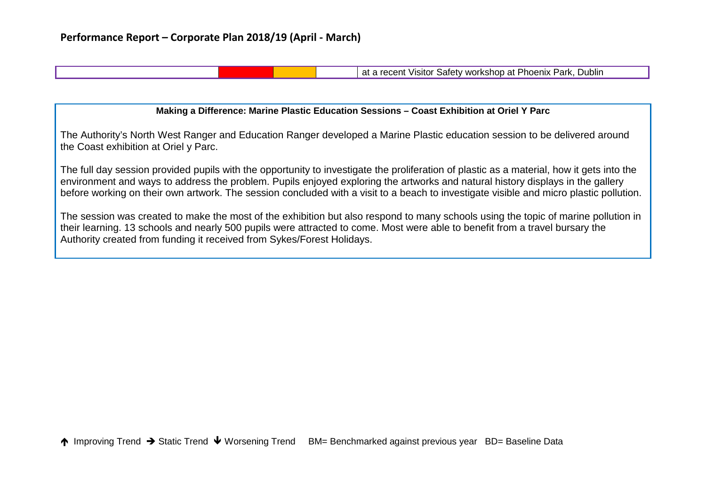at a recent Visitor Safety workshop at Phoenix Park, Dublin

#### **Making a Difference: Marine Plastic Education Sessions – Coast Exhibition at Oriel Y Parc**

The Authority's North West Ranger and Education Ranger developed a Marine Plastic education session to be delivered around the Coast exhibition at Oriel y Parc.

The full day session provided pupils with the opportunity to investigate the proliferation of plastic as a material, how it gets into the environment and ways to address the problem. Pupils enjoyed exploring the artworks and natural history displays in the gallery before working on their own artwork. The session concluded with a visit to a beach to investigate visible and micro plastic pollution.

The session was created to make the most of the exhibition but also respond to many schools using the topic of marine pollution in their learning. 13 schools and nearly 500 pupils were attracted to come. Most were able to benefit from a travel bursary the Authority created from funding it received from Sykes/Forest Holidays.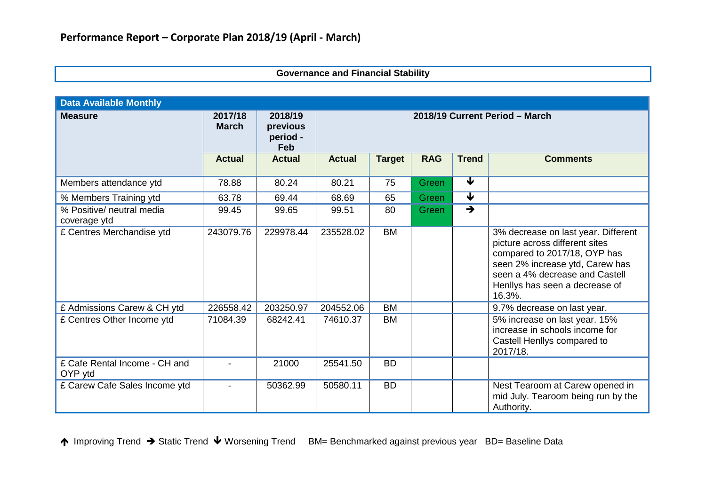### **Governance and Financial Stability**

| <b>Data Available Monthly</b>             |                         |                                        |                                |               |            |                         |                                                                                                                                                                                                                        |  |
|-------------------------------------------|-------------------------|----------------------------------------|--------------------------------|---------------|------------|-------------------------|------------------------------------------------------------------------------------------------------------------------------------------------------------------------------------------------------------------------|--|
| <b>Measure</b>                            | 2017/18<br><b>March</b> | 2018/19<br>previous<br>period -<br>Feb | 2018/19 Current Period - March |               |            |                         |                                                                                                                                                                                                                        |  |
|                                           | <b>Actual</b>           | <b>Actual</b>                          | <b>Actual</b>                  | <b>Target</b> | <b>RAG</b> | <b>Trend</b>            | <b>Comments</b>                                                                                                                                                                                                        |  |
| Members attendance ytd                    | 78.88                   | 80.24                                  | 80.21                          | 75            | Green      | $\overline{\textbf{V}}$ |                                                                                                                                                                                                                        |  |
| % Members Training ytd                    | 63.78                   | 69.44                                  | 68.69                          | 65            | Green      | $\overline{\textbf{v}}$ |                                                                                                                                                                                                                        |  |
| % Positive/ neutral media<br>coverage ytd | 99.45                   | 99.65                                  | 99.51                          | 80            | Green      | $\rightarrow$           |                                                                                                                                                                                                                        |  |
| £ Centres Merchandise ytd                 | 243079.76               | 229978.44                              | 235528.02                      | <b>BM</b>     |            |                         | 3% decrease on last year. Different<br>picture across different sites<br>compared to 2017/18, OYP has<br>seen 2% increase ytd, Carew has<br>seen a 4% decrease and Castell<br>Henllys has seen a decrease of<br>16.3%. |  |
| £ Admissions Carew & CH ytd               | 226558.42               | 203250.97                              | 204552.06                      | <b>BM</b>     |            |                         | 9.7% decrease on last year.                                                                                                                                                                                            |  |
| £ Centres Other Income ytd                | 71084.39                | 68242.41                               | 74610.37                       | <b>BM</b>     |            |                         | 5% increase on last year. 15%<br>increase in schools income for<br>Castell Henllys compared to<br>2017/18.                                                                                                             |  |
| £ Cafe Rental Income - CH and<br>OYP ytd  |                         | 21000                                  | 25541.50                       | <b>BD</b>     |            |                         |                                                                                                                                                                                                                        |  |
| £ Carew Cafe Sales Income ytd             | ۰                       | 50362.99                               | 50580.11                       | <b>BD</b>     |            |                         | Nest Tearoom at Carew opened in<br>mid July. Tearoom being run by the<br>Authority.                                                                                                                                    |  |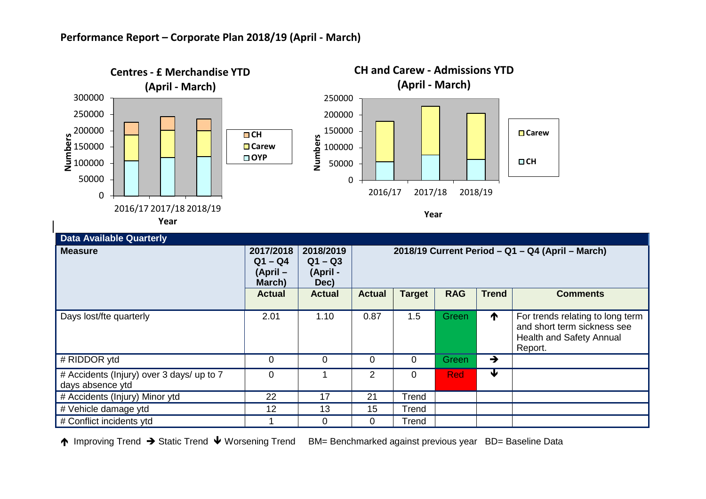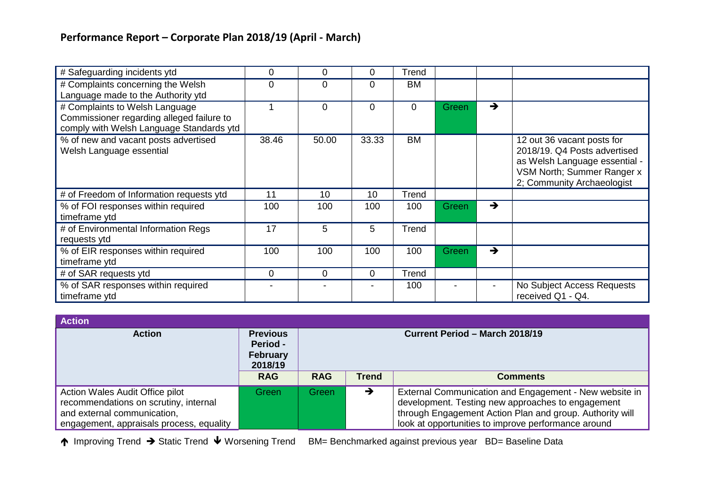| # Safeguarding incidents ytd                                                                                            | 0           | 0     | 0        | Trend |              |               |                                                                                                                                                         |
|-------------------------------------------------------------------------------------------------------------------------|-------------|-------|----------|-------|--------------|---------------|---------------------------------------------------------------------------------------------------------------------------------------------------------|
| # Complaints concerning the Welsh<br>Language made to the Authority ytd                                                 | $\Omega$    | 0     | 0        | BM    |              |               |                                                                                                                                                         |
| # Complaints to Welsh Language<br>Commissioner regarding alleged failure to<br>comply with Welsh Language Standards ytd |             | 0     | $\Omega$ | 0     | <b>Green</b> | $\rightarrow$ |                                                                                                                                                         |
| % of new and vacant posts advertised<br>Welsh Language essential                                                        | 38.46       | 50.00 | 33.33    | BM    |              |               | 12 out 36 vacant posts for<br>2018/19, Q4 Posts advertised<br>as Welsh Language essential -<br>VSM North; Summer Ranger x<br>2; Community Archaeologist |
| # of Freedom of Information requests ytd                                                                                | 11          | 10    | 10       | Trend |              |               |                                                                                                                                                         |
| % of FOI responses within required<br>timeframe ytd                                                                     | 100         | 100   | 100      | 100   | <b>Green</b> | $\rightarrow$ |                                                                                                                                                         |
| # of Environmental Information Regs<br>requests ytd                                                                     | 17          | 5     | 5        | Trend |              |               |                                                                                                                                                         |
| % of EIR responses within required<br>timeframe ytd                                                                     | 100         | 100   | 100      | 100   | Green        | $\rightarrow$ |                                                                                                                                                         |
| # of SAR requests ytd                                                                                                   | $\mathbf 0$ | 0     | 0        | Trend |              |               |                                                                                                                                                         |
| % of SAR responses within required<br>timeframe ytd                                                                     |             |       |          | 100   |              |               | No Subject Access Requests<br>received Q1 - Q4.                                                                                                         |

| <b>Action</b>                                                                                                                                       |                                                                  |            |              |                                                                                                                                                                                                                                |
|-----------------------------------------------------------------------------------------------------------------------------------------------------|------------------------------------------------------------------|------------|--------------|--------------------------------------------------------------------------------------------------------------------------------------------------------------------------------------------------------------------------------|
| <b>Action</b>                                                                                                                                       | <b>Previous</b><br><b>Period -</b><br><b>February</b><br>2018/19 |            |              | Current Period - March 2018/19                                                                                                                                                                                                 |
|                                                                                                                                                     | <b>RAG</b>                                                       | <b>RAG</b> | <b>Trend</b> | <b>Comments</b>                                                                                                                                                                                                                |
| Action Wales Audit Office pilot<br>recommendations on scrutiny, internal<br>and external communication,<br>engagement, appraisals process, equality | Green                                                            | Green      | →            | External Communication and Engagement - New website in<br>development. Testing new approaches to engagement<br>through Engagement Action Plan and group. Authority will<br>look at opportunities to improve performance around |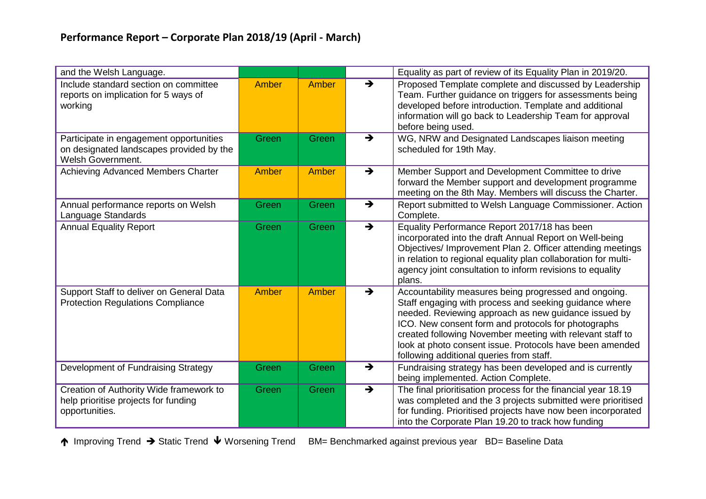| and the Welsh Language.                                                                                         |       |       |                          | Equality as part of review of its Equality Plan in 2019/20.                                                                                                                                                                                                                                                                                                                                         |
|-----------------------------------------------------------------------------------------------------------------|-------|-------|--------------------------|-----------------------------------------------------------------------------------------------------------------------------------------------------------------------------------------------------------------------------------------------------------------------------------------------------------------------------------------------------------------------------------------------------|
| Include standard section on committee<br>reports on implication for 5 ways of<br>working                        | Amber | Amber | $\rightarrow$            | Proposed Template complete and discussed by Leadership<br>Team. Further guidance on triggers for assessments being<br>developed before introduction. Template and additional<br>information will go back to Leadership Team for approval<br>before being used.                                                                                                                                      |
| Participate in engagement opportunities<br>on designated landscapes provided by the<br><b>Welsh Government.</b> | Green | Green | $\rightarrow$            | WG, NRW and Designated Landscapes liaison meeting<br>scheduled for 19th May.                                                                                                                                                                                                                                                                                                                        |
| Achieving Advanced Members Charter                                                                              | Amber | Amber | $\rightarrow$            | Member Support and Development Committee to drive<br>forward the Member support and development programme<br>meeting on the 8th May. Members will discuss the Charter.                                                                                                                                                                                                                              |
| Annual performance reports on Welsh<br>Language Standards                                                       | Green | Green | $\rightarrow$            | Report submitted to Welsh Language Commissioner. Action<br>Complete.                                                                                                                                                                                                                                                                                                                                |
| <b>Annual Equality Report</b>                                                                                   | Green | Green | $\overline{\rightarrow}$ | Equality Performance Report 2017/18 has been<br>incorporated into the draft Annual Report on Well-being<br>Objectives/ Improvement Plan 2. Officer attending meetings<br>in relation to regional equality plan collaboration for multi-<br>agency joint consultation to inform revisions to equality<br>plans.                                                                                      |
| Support Staff to deliver on General Data<br><b>Protection Regulations Compliance</b>                            | Amber | Amber | $\rightarrow$            | Accountability measures being progressed and ongoing.<br>Staff engaging with process and seeking guidance where<br>needed. Reviewing approach as new guidance issued by<br>ICO. New consent form and protocols for photographs<br>created following November meeting with relevant staff to<br>look at photo consent issue. Protocols have been amended<br>following additional queries from staff. |
| Development of Fundraising Strategy                                                                             | Green | Green | $\rightarrow$            | Fundraising strategy has been developed and is currently<br>being implemented. Action Complete.                                                                                                                                                                                                                                                                                                     |
| Creation of Authority Wide framework to<br>help prioritise projects for funding<br>opportunities.               | Green | Green | $\rightarrow$            | The final prioritisation process for the financial year 18.19<br>was completed and the 3 projects submitted were prioritised<br>for funding. Prioritised projects have now been incorporated<br>into the Corporate Plan 19.20 to track how funding                                                                                                                                                  |